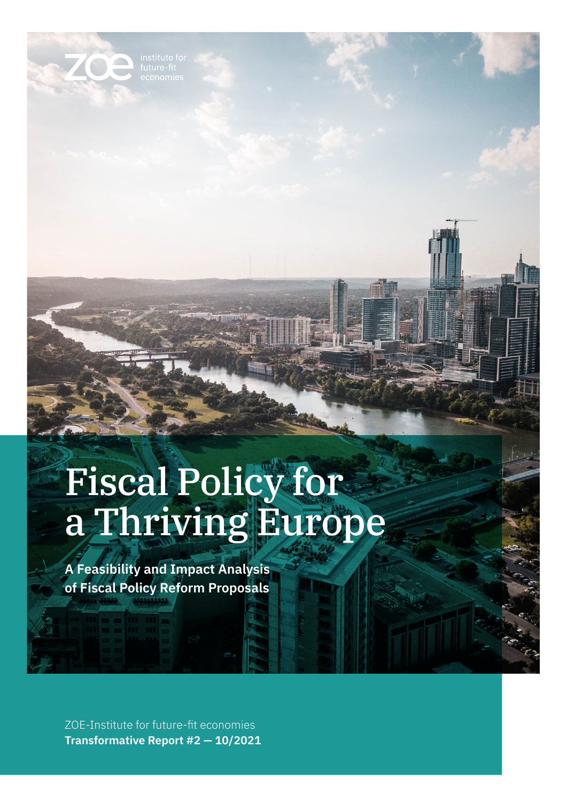OA

# Fiscal Policy for a Thriving Europe

**A Feasibility and Impact Analysis of Fiscal Policy Reform Proposals**

ZOE-Institute for future-fit economies **Transformative Report #2 — 10/2021**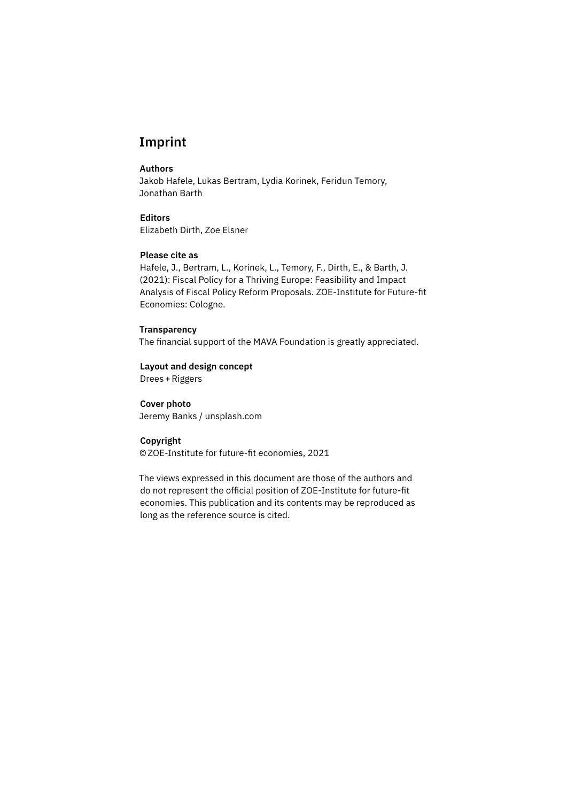## **Imprint**

#### **Authors**

Jakob Hafele, Lukas Bertram, Lydia Korinek, Feridun Temory, Jonathan Barth

**Editors** Elizabeth Dirth, Zoe Elsner

### **Please cite as**

Hafele, J., Bertram, L., Korinek, L., Temory, F., Dirth, E., & Barth, J. (2021): Fiscal Policy for a Thriving Europe: Feasibility and Impact Analysis of Fiscal Policy Reform Proposals. ZOE-Institute for Future-fit Economies: Cologne.

#### **Transparency**

The financial support of the MAVA Foundation is greatly appreciated.

**Layout and design concept** [Drees+Riggers](http://www.drees-riggers.de)

## **Cover photo**

Jeremy Banks / unsplash.com

#### **Copyright**

[©ZOE-Institute for future-fit economies](https://zoe-institut.de/), 2021

The views expressed in this document are those of the authors and do not represent the official position of ZOE-Institute for future-fit economies. This publication and its contents may be reproduced as long as the reference source is cited.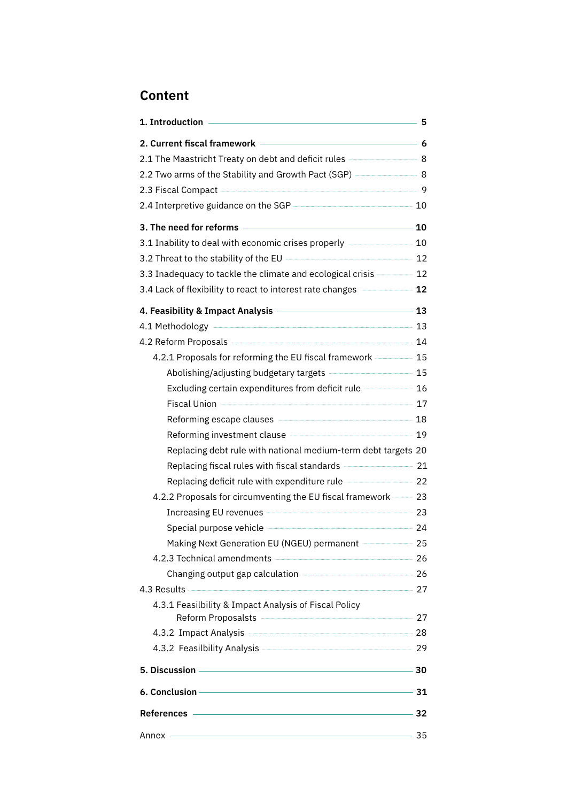# **Content**

|                                                                                                                                                                                                                                | -5 |
|--------------------------------------------------------------------------------------------------------------------------------------------------------------------------------------------------------------------------------|----|
| $\overline{\phantom{a}}$ 6<br>2. Current fiscal framework                                                                                                                                                                      |    |
| 2.1 The Maastricht Treaty on debt and deficit rules - 3                                                                                                                                                                        |    |
| 2.2 Two arms of the Stability and Growth Pact (SGP) - 8                                                                                                                                                                        |    |
| 2.3 Fiscal Compact - 3 Page 2.3 Fiscal Compact - 3 Page 2.3 Fiscal Compact - 3 Page 2.3 Page 2.3 Page 2.5 Page 2.5 Page 2.5 Page 2.5 Page 2.5 Page 2.5 Page 2.5 Page 2.5 Page 2.5 Page 2.5 Page 2.5 Page 2.5 Page 2.5 Page 2.5 |    |
| 2.4 Interpretive guidance on the SGP <b>CONFIDENT</b> 2.4 Interpretive guidance on the SGP                                                                                                                                     |    |
| $\overline{\phantom{a}}$ 10<br>3. The need for reforms                                                                                                                                                                         |    |
| 3.1 Inability to deal with economic crises properly <b>Allectron 20</b> 10                                                                                                                                                     |    |
| 3.2 Threat to the stability of the EU - 22                                                                                                                                                                                     |    |
| 3.3 Inadequacy to tackle the climate and ecological crisis <b>Summary 12</b>                                                                                                                                                   |    |
| 3.4 Lack of flexibility to react to interest rate changes <b>Allective Contract 12</b>                                                                                                                                         |    |
| 4. Feasibility & Impact Analysis - 23                                                                                                                                                                                          |    |
| 4.1 Methodology 23                                                                                                                                                                                                             |    |
| 4.2 Reform Proposals 24                                                                                                                                                                                                        |    |
| 4.2.1 Proposals for reforming the EU fiscal framework - 15                                                                                                                                                                     |    |
| Abolishing/adjusting budgetary targets --------------------------------- 15                                                                                                                                                    |    |
| Excluding certain expenditures from deficit rule - 16                                                                                                                                                                          |    |
| Fiscal Union 27                                                                                                                                                                                                                |    |
| Reforming escape clauses <b>Manual According to the 18</b>                                                                                                                                                                     |    |
| Reforming investment clause <b>Constant Constant Constant Constant Constant Constant</b>                                                                                                                                       |    |
| Replacing debt rule with national medium-term debt targets 20                                                                                                                                                                  |    |
| Replacing fiscal rules with fiscal standards - 21                                                                                                                                                                              |    |
| Replacing deficit rule with expenditure rule <b>contains the contract of 22</b>                                                                                                                                                |    |
| 4.2.2 Proposals for circumventing the EU fiscal framework -- 23                                                                                                                                                                |    |
| Increasing EU revenues <b>Constant Construct Constant Constant Constant Constant Constant Constant Constant Const</b>                                                                                                          |    |
| Special purpose vehicle <b>Construction</b> 24                                                                                                                                                                                 |    |
| Making Next Generation EU (NGEU) permanent ------------------ 25                                                                                                                                                               |    |
| 4.2.3 Technical amendments <b>CONSCRIPTION</b> 26                                                                                                                                                                              |    |
|                                                                                                                                                                                                                                |    |
| 4.3 Results 27                                                                                                                                                                                                                 |    |
| 4.3.1 Feasilbility & Impact Analysis of Fiscal Policy                                                                                                                                                                          |    |
| Reform Proposalsts   27                                                                                                                                                                                                        |    |
| 4.3.2 Impact Analysis <u>- 28</u>                                                                                                                                                                                              |    |
| 4.3.2 Feasilbility Analysis <b>Manual Accord Paradent Contract 29</b>                                                                                                                                                          |    |
|                                                                                                                                                                                                                                |    |
| 6. Conclusion — 31                                                                                                                                                                                                             |    |
| References 22                                                                                                                                                                                                                  |    |
| Annex ——                                                                                                                                                                                                                       |    |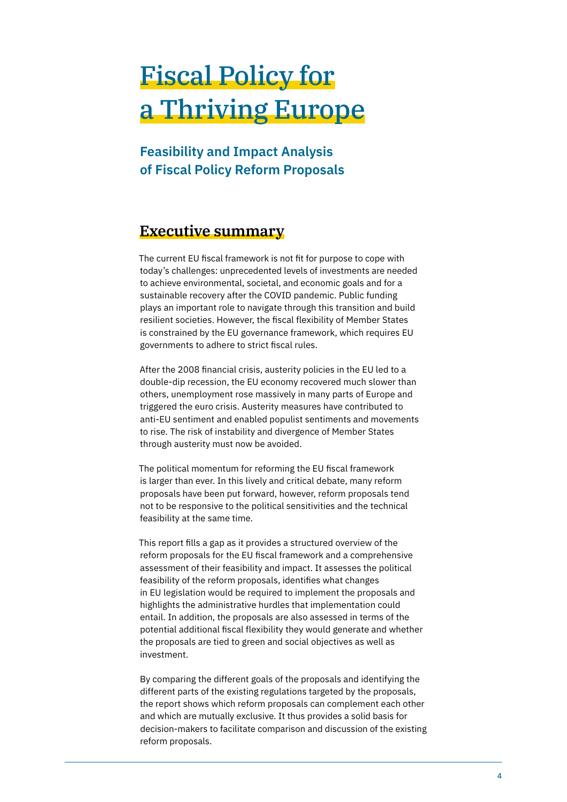# Fiscal Policy for a Thriving Europe

# **Feasibility and Impact Analysis of Fiscal Policy Reform Proposals**

# **Executive summary**

The current EU fiscal framework is not fit for purpose to cope with today's challenges: unprecedented levels of investments are needed to achieve environmental, societal, and economic goals and for a sustainable recovery after the COVID pandemic. Public funding plays an important role to navigate through this transition and build resilient societies. However, the fiscal flexibility of Member States is constrained by the EU governance framework, which requires EU governments to adhere to strict fiscal rules.

After the 2008 financial crisis, austerity policies in the EU led to a double-dip recession, the EU economy recovered much slower than others, unemployment rose massively in many parts of Europe and triggered the euro crisis. Austerity measures have contributed to anti-EU sentiment and enabled populist sentiments and movements to rise. The risk of instability and divergence of Member States through austerity must now be avoided.

The political momentum for reforming the EU fiscal framework is larger than ever. In this lively and critical debate, many reform proposals have been put forward, however, reform proposals tend not to be responsive to the political sensitivities and the technical feasibility at the same time.

This report fills a gap as it provides a structured overview of the reform proposals for the EU fiscal framework and a comprehensive assessment of their feasibility and impact. It assesses the political feasibility of the reform proposals, identifies what changes in EU legislation would be required to implement the proposals and highlights the administrative hurdles that implementation could entail. In addition, the proposals are also assessed in terms of the potential additional fiscal flexibility they would generate and whether the proposals are tied to green and social objectives as well as investment.

By comparing the different goals of the proposals and identifying the different parts of the existing regulations targeted by the proposals, the report shows which reform proposals can complement each other and which are mutually exclusive. It thus provides a solid basis for decision-makers to facilitate comparison and discussion of the existing reform proposals.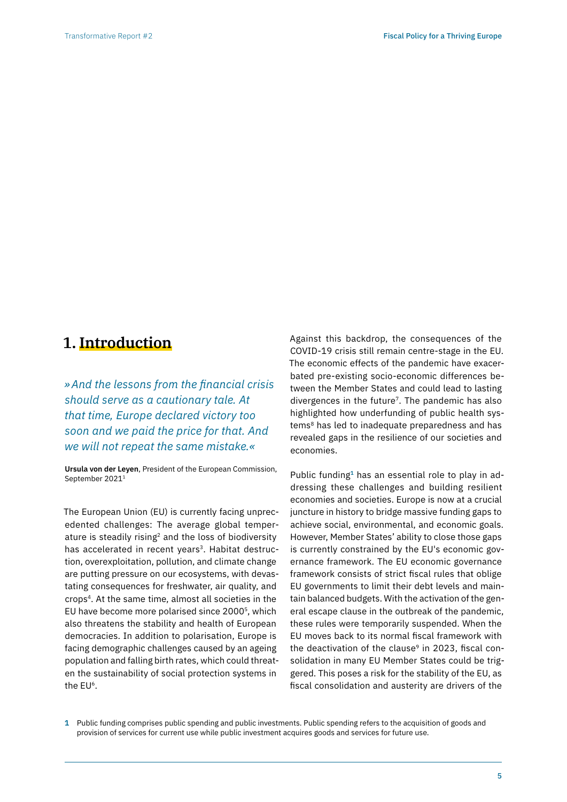# **1. Introduction**

*»And the lessons from the financial crisis should serve as a cautionary tale. At that time, Europe declared victory too soon and we paid the price for that. And we will not repeat the same mistake.«* 

**Ursula von der Leyen**, President of the European Commission, September 20211

The European Union (EU) is currently facing unprecedented challenges: The average global temperature is steadily rising<sup>2</sup> and the loss of biodiversity has accelerated in recent years<sup>3</sup>. Habitat destruction, overexploitation, pollution, and climate change are putting pressure on our ecosystems, with devastating consequences for freshwater, air quality, and crops4. At the same time, almost all societies in the EU have become more polarised since 20005, which also threatens the stability and health of European democracies. In addition to polarisation, Europe is facing demographic challenges caused by an ageing population and falling birth rates, which could threaten the sustainability of social protection systems in the EU6.

Against this backdrop, the consequences of the COVID-19 crisis still remain centre-stage in the EU. The economic effects of the pandemic have exacerbated pre-existing socio-economic differences between the Member States and could lead to lasting divergences in the future7. The pandemic has also highlighted how underfunding of public health systems<sup>8</sup> has led to inadequate preparedness and has revealed gaps in the resilience of our societies and economies.

Public funding**1** has an essential role to play in addressing these challenges and building resilient economies and societies. Europe is now at a crucial juncture in history to bridge massive funding gaps to achieve social, environmental, and economic goals. However, Member States' ability to close those gaps is currently constrained by the EU's economic governance framework. The EU economic governance framework consists of strict fiscal rules that oblige EU governments to limit their debt levels and maintain balanced budgets. With the activation of the general escape clause in the outbreak of the pandemic, these rules were temporarily suspended. When the EU moves back to its normal fiscal framework with the deactivation of the clause<sup>9</sup> in 2023, fiscal consolidation in many EU Member States could be triggered. This poses a risk for the stability of the EU, as fiscal consolidation and austerity are drivers of the

**1** Public funding comprises public spending and public investments. Public spending refers to the acquisition of goods and provision of services for current use while public investment acquires goods and services for future use.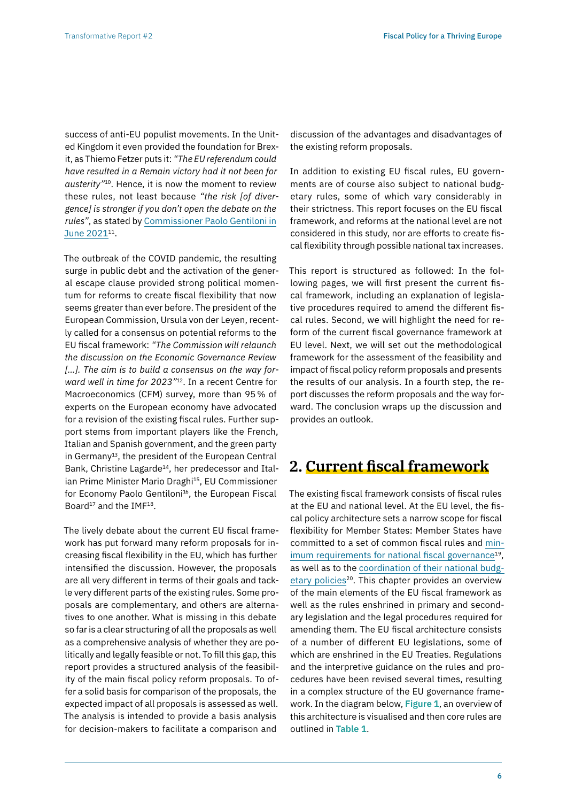success of anti-EU populist movements. In the United Kingdom it even provided the foundation for Brexit, as Thiemo Fetzer puts it: *"The EU referendum could have resulted in a Remain victory had it not been for austerity"*10. Hence, it is now the moment to review these rules, not least because *"the risk [of divergence] is stronger if you don't open the debate on the rules"*, as stated by [Commissioner Paolo Gentiloni in](https://www.politico.eu/article/paolo-gentiloni-unchanged-deficit-rules-will-deepen-north-south-divide/) June 2021<sup>11</sup>.

The outbreak of the COVID pandemic, the resulting surge in public debt and the activation of the general escape clause provided strong political momentum for reforms to create fiscal flexibility that now seems greater than ever before. The president of the European Commission, Ursula von der Leyen, recently called for a consensus on potential reforms to the EU fiscal framework: *"The Commission will relaunch the discussion on the Economic Governance Review […]. The aim is to build a consensus on the way forward well in time for 2023"*12. In a recent Centre for Macroeconomics (CFM) survey, more than 95% of experts on the European economy have advocated for a revision of the existing fiscal rules. Further support stems from important players like the French, Italian and Spanish government, and the green party in Germany<sup>13</sup>, the president of the European Central Bank, Christine Lagarde<sup>14</sup>, her predecessor and Italian Prime Minister Mario Draghi<sup>15</sup>, EU Commissioner for Economy Paolo Gentiloni<sup>16</sup>, the European Fiscal Board<sup>17</sup> and the IMF<sup>18</sup>.

The lively debate about the current EU fiscal framework has put forward many reform proposals for increasing fiscal flexibility in the EU, which has further intensified the discussion. However, the proposals are all very different in terms of their goals and tackle very different parts of the existing rules. Some proposals are complementary, and others are alternatives to one another. What is missing in this debate so far is a clear structuring of all the proposals as well as a comprehensive analysis of whether they are politically and legally feasible or not. To fill this gap, this report provides a structured analysis of the feasibility of the main fiscal policy reform proposals. To offer a solid basis for comparison of the proposals, the expected impact of all proposals is assessed as well. The analysis is intended to provide a basis analysis for decision-makers to facilitate a comparison and

discussion of the advantages and disadvantages of the existing reform proposals.

In addition to existing EU fiscal rules, EU governments are of course also subject to national budgetary rules, some of which vary considerably in their strictness. This report focuses on the EU fiscal framework, and reforms at the national level are not considered in this study, nor are efforts to create fiscal flexibility through possible national tax increases.

This report is structured as followed: In the following pages, we will first present the current fiscal framework, including an explanation of legislative procedures required to amend the different fiscal rules. Second, we will highlight the need for reform of the current fiscal governance framework at EU level. Next, we will set out the methodological framework for the assessment of the feasibility and impact of fiscal policy reform proposals and presents the results of our analysis. In a fourth step, the report discusses the reform proposals and the way forward. The conclusion wraps up the discussion and provides an outlook.

## **2. Current fiscal framework**

The existing fiscal framework consists of fiscal rules at the EU and national level. At the EU level, the fiscal policy architecture sets a narrow scope for fiscal flexibility for Member States: Member States have committed to a set of common fiscal rules and [min](https://eur-lex.europa.eu/legal-content/EN/TXT/PDF/?uri=CELEX:32011L0085&from=EN)imum requirements for national fiscal governance<sup>19</sup>, as well as to the [coordination of their national budg](https://ec.europa.eu/info/business-economy-euro/economic-and-fiscal-policy-coordination/eu-economic-governance-monitoring-prevention-correction/european-semester_en)etary policies<sup>20</sup>. This chapter provides an overview of the main elements of the EU fiscal framework as well as the rules enshrined in primary and secondary legislation and the legal procedures required for amending them. The EU fiscal architecture consists of a number of different EU legislations, some of which are enshrined in the EU Treaties. Regulations and the interpretive guidance on the rules and procedures have been revised several times, resulting in a complex structure of the EU governance framework. In the diagram below, **Figure 1**, an overview of this architecture is visualised and then core rules are outlined in **Table 1**.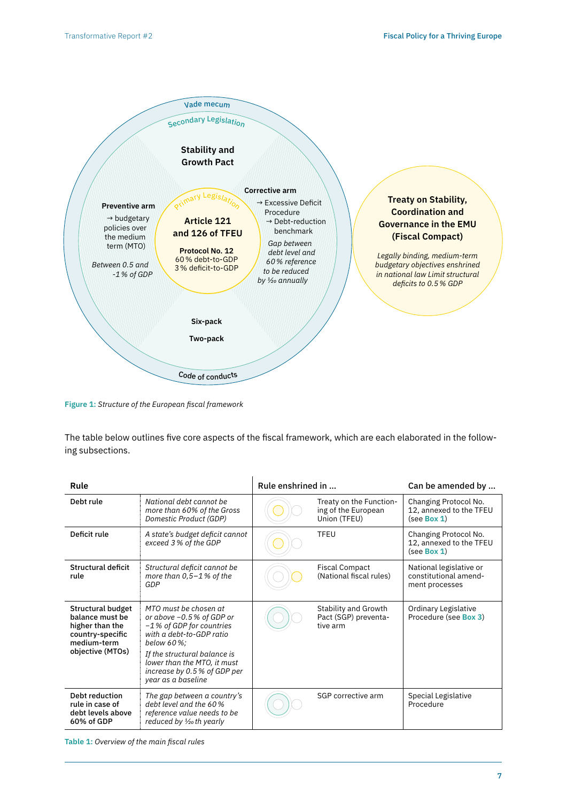

**Figure 1:** *Structure of the European fiscal framework*

The table below outlines five core aspects of the fiscal framework, which are each elaborated in the following subsections.

| Rule                                                                                                           |                                                                                                                                                                                                                                                  | Rule enshrined in |                                                                | Can be amended by                                                  |
|----------------------------------------------------------------------------------------------------------------|--------------------------------------------------------------------------------------------------------------------------------------------------------------------------------------------------------------------------------------------------|-------------------|----------------------------------------------------------------|--------------------------------------------------------------------|
| Debt rule                                                                                                      | National debt cannot be<br>more than 60% of the Gross<br>Domestic Product (GDP)                                                                                                                                                                  |                   | Treaty on the Function-<br>ing of the European<br>Union (TFEU) | Changing Protocol No.<br>12, annexed to the TFEU<br>(see Box 1)    |
| Deficit rule                                                                                                   | A state's budget deficit cannot<br>exceed 3% of the GDP                                                                                                                                                                                          |                   | TFEU                                                           | Changing Protocol No.<br>12, annexed to the TFEU<br>(see Box 1)    |
| Structural deficit<br>rule                                                                                     | Structural deficit cannot be<br>more than $0,5-1$ % of the<br>GDP                                                                                                                                                                                |                   | <b>Fiscal Compact</b><br>(National fiscal rules)               | National legislative or<br>constitutional amend-<br>ment processes |
| Structural budget<br>balance must be<br>higher than the<br>country-specific<br>medium-term<br>objective (MTOs) | MTO must be chosen at<br>or above $-0.5\%$ of GDP or<br>-1 % of GDP for countries<br>with a debt-to-GDP ratio<br>below 60%:<br>If the structural balance is<br>lower than the MTO, it must<br>increase by 0.5 % of GDP per<br>year as a baseline |                   | Stability and Growth<br>Pact (SGP) preventa-<br>tive arm       | Ordinary Legislative<br>Procedure (see Box 3)                      |
| Debt reduction<br>rule in case of<br>debt levels above<br>60% of GDP                                           | The gap between a country's<br>debt level and the 60%<br>reference value needs to be<br>reduced by $\frac{1}{2}$ th yearly                                                                                                                       |                   | SGP corrective arm                                             | Special Legislative<br>Procedure                                   |

**Table 1:** *Overview of the main fiscal rules*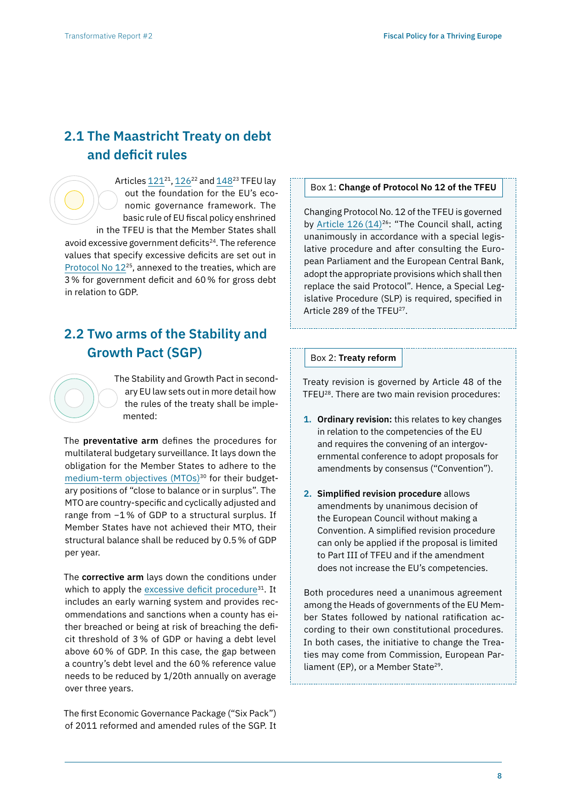# **2.1 The Maastricht Treaty on debt and deficit rules**

Articles 121<sup>21</sup>, 126<sup>22</sup> and [148](https://eur-lex.europa.eu/legal-content/EN/TXT/HTML/?uri=CELEX:12016E148&from=EN)<sup>23</sup> TFEU lay out the foundation for the EU's economic governance framework. The basic rule of EU fiscal policy enshrined in the TFEU is that the Member States shall avoid excessive government deficits<sup>24</sup>. The reference values that specify excessive deficits are set out in [Protocol No 12](https://eur-lex.europa.eu/legal-content/EN/ALL/?uri=CELEX%3A12008M%2FPRO%2F12)25, annexed to the treaties, which are 3% for government deficit and 60% for gross debt in relation to GDP.

# **2.2 Two arms of the Stability and Growth Pact (SGP)**

The Stability and Growth Pact in secondary EU law sets out in more detail how the rules of the treaty shall be implemented:

The **preventative arm** defines the procedures for multilateral budgetary surveillance. It lays down the obligation for the Member States to adhere to the [medium-term objectives \(MTOs\)](https://ec.europa.eu/info/business-economy-euro/economic-and-fiscal-policy-coordination/eu-economic-governance-monitoring-prevention-correction/stability-and-growth-pact/preventive-arm/medium-term-budgetary-objectives-mtos_en)<sup>30</sup> for their budgetary positions of "close to balance or in surplus". The MTO are country-specific and cyclically adjusted and range from −1% of GDP to a structural surplus. If Member States have not achieved their MTO, their structural balance shall be reduced by 0.5% of GDP per year.

The **corrective arm** lays down the conditions under which to apply the excessive deficit procedure<sup>31</sup>. It includes an early warning system and provides recommendations and sanctions when a county has either breached or being at risk of breaching the deficit threshold of 3% of GDP or having a debt level above 60% of GDP. In this case, the gap between a country's debt level and the 60% reference value needs to be reduced by 1/20th annually on average over three years.

The first Economic Governance Package ("Six Pack") of 2011 reformed and amended rules of the SGP. It

## Box 1: **Change of Protocol No 12 of the TFEU**

Changing Protocol No. 12 of the TFEU is governed by Article 126 (14)<sup>26</sup>: "The Council shall, acting unanimously in accordance with a special legislative procedure and after consulting the European Parliament and the European Central Bank, adopt the appropriate provisions which shall then replace the said Protocol". Hence, a Special Legislative Procedure (SLP) is required, specified in Article 289 of the TFEU<sup>27</sup>.

#### Box 2: **Treaty reform**

Treaty revision is governed by Article 48 of the TFEU28. There are two main revision procedures:

- **1. Ordinary revision:** this relates to key changes in relation to the competencies of the EU and requires the convening of an intergovernmental conference to adopt proposals for amendments by consensus ("Convention").
- **2. Simplified revision procedure** allows amendments by unanimous decision of the European Council without making a Convention. A simplified revision procedure can only be applied if the proposal is limited to Part III of TFEU and if the amendment does not increase the EU's competencies.

Both procedures need a unanimous agreement among the Heads of governments of the EU Member States followed by national ratification according to their own constitutional procedures. In both cases, the initiative to change the Treaties may come from Commission, European Parliament (EP), or a Member State<sup>29</sup>.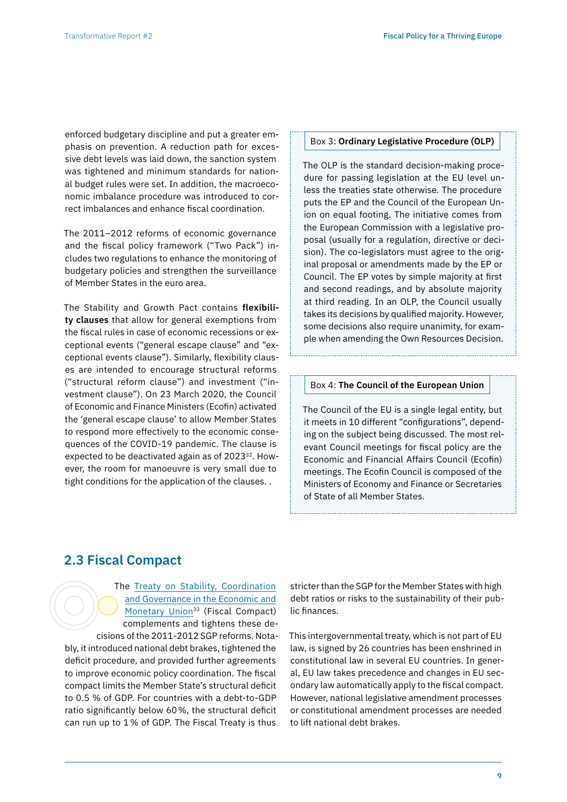enforced budgetary discipline and put a greater emphasis on prevention. A reduction path for excessive debt levels was laid down, the sanction system was tightened and minimum standards for national budget rules were set. In addition, the macroeconomic imbalance procedure was introduced to correct imbalances and enhance fiscal coordination.

The 2011–2012 reforms of economic governance and the fiscal policy framework ("Two Pack") includes two regulations to enhance the monitoring of budgetary policies and strengthen the surveillance of Member States in the euro area.

The Stability and Growth Pact contains **flexibility clauses** that allow for general exemptions from the fiscal rules in case of economic recessions or exceptional events ("general escape clause" and "exceptional events clause"). Similarly, flexibility clauses are intended to encourage structural reforms ("structural reform clause") and investment ("investment clause"). On 23 March 2020, the Council of Economic and Finance Ministers (Ecofin) activated the 'general escape clause' to allow Member States to respond more effectively to the economic consequences of the COVID-19 pandemic. The clause is expected to be deactivated again as of 2023<sup>32</sup>. However, the room for manoeuvre is very small due to tight conditions for the application of the clauses. .

#### Box 3: **Ordinary Legislative Procedure (OLP)**

The OLP is the standard decision-making procedure for passing legislation at the EU level unless the treaties state otherwise. The procedure puts the EP and the Council of the European Union on equal footing. The initiative comes from the European Commission with a legislative proposal (usually for a regulation, directive or decision). The co-legislators must agree to the original proposal or amendments made by the EP or Council. The EP votes by simple majority at first and second readings, and by absolute majority at third reading. In an OLP, the Council usually takes its decisions by qualified majority. However, some decisions also require unanimity, for example when amending the Own Resources Decision.

#### Box 4: **The Council of the European Union**

The Council of the EU is a single legal entity, but it meets in 10 different "configurations", depending on the subject being discussed. The most relevant Council meetings for fiscal policy are the Economic and Financial Affairs Council (Ecofin) meetings. The Ecofin Council is composed of the Ministers of Economy and Finance or Secretaries of State of all Member States.

## **2.3 Fiscal Compact**

The [Treaty on Stability, Coordination](https://eur-lex.europa.eu/legal-content/EN/TXT/?uri=LEGISSUM%3A1403_3)  [and Governance in the Economic and](https://eur-lex.europa.eu/legal-content/EN/TXT/?uri=LEGISSUM%3A1403_3)  [Monetary Union](https://eur-lex.europa.eu/legal-content/EN/TXT/?uri=LEGISSUM%3A1403_3)<sup>33</sup> (Fiscal Compact) complements and tightens these decisions of the 2011-2012 SGP reforms. Notably, it introduced national debt brakes, tightened the deficit procedure, and provided further agreements to improve economic policy coordination. The fiscal compact limits the Member State's structural deficit to 0.5 % of GDP. For countries with a debt-to-GDP ratio significantly below 60%, the structural deficit can run up to 1% of GDP. The Fiscal Treaty is thus

stricter than the SGP for the Member States with high debt ratios or risks to the sustainability of their public finances.

This intergovernmental treaty, which is not part of EU law, is signed by 26 countries has been enshrined in constitutional law in several EU countries. In general, EU law takes precedence and changes in EU secondary law automatically apply to the fiscal compact. However, national legislative amendment processes or constitutional amendment processes are needed to lift national debt brakes.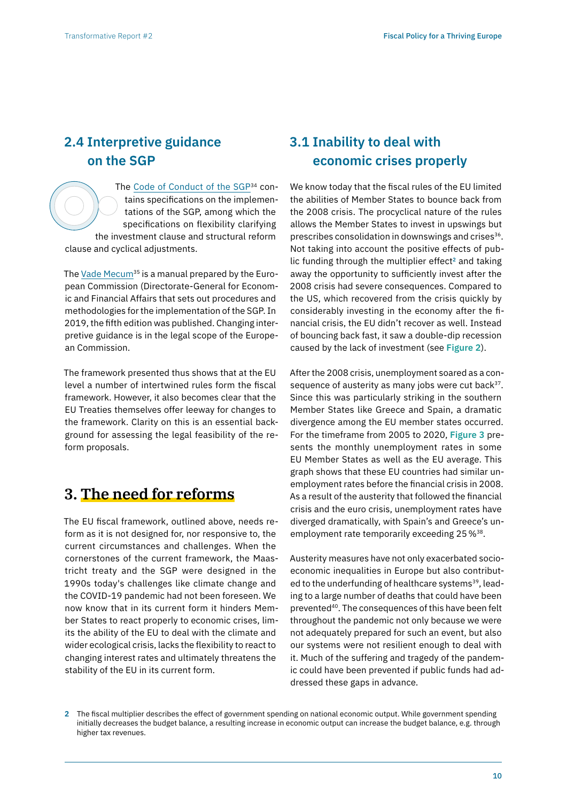# **2.4 Interpretive guidance on the SGP**

The [Code of Conduct of the SGP](https://data.consilium.europa.eu/doc/document/ST-9344-2017-INIT/en/pdf)<sup>34</sup> contains specifications on the implementations of the SGP, among which the specifications on flexibility clarifying the investment clause and structural reform clause and cyclical adjustments.

The [Vade Mecum](https://ec.europa.eu/info/publications/vade-mecum-stability-and-growth-pact-2019-edition_en)<sup>35</sup> is a manual prepared by the European Commission (Directorate-General for Economic and Financial Affairs that sets out procedures and methodologies for the implementation of the SGP. In 2019, the fifth edition was published. Changing interpretive guidance is in the legal scope of the European Commission.

The framework presented thus shows that at the EU level a number of intertwined rules form the fiscal framework. However, it also becomes clear that the EU Treaties themselves offer leeway for changes to the framework. Clarity on this is an essential background for assessing the legal feasibility of the reform proposals.

# **3. The need for reforms**

The EU fiscal framework, outlined above, needs reform as it is not designed for, nor responsive to, the current circumstances and challenges. When the cornerstones of the current framework, the Maastricht treaty and the SGP were designed in the 1990s today's challenges like climate change and the COVID-19 pandemic had not been foreseen. We now know that in its current form it hinders Member States to react properly to economic crises, limits the ability of the EU to deal with the climate and wider ecological crisis, lacks the flexibility to react to changing interest rates and ultimately threatens the stability of the EU in its current form.

# **3.1 Inability to deal with economic crises properly**

We know today that the fiscal rules of the EU limited the abilities of Member States to bounce back from the 2008 crisis. The procyclical nature of the rules allows the Member States to invest in upswings but prescribes consolidation in downswings and crises<sup>36</sup>. Not taking into account the positive effects of public funding through the multiplier effect**2** and taking away the opportunity to sufficiently invest after the 2008 crisis had severe consequences. Compared to the US, which recovered from the crisis quickly by considerably investing in the economy after the financial crisis, the EU didn't recover as well. Instead of bouncing back fast, it saw a double-dip recession caused by the lack of investment (see **Figure 2**).

After the 2008 crisis, unemployment soared as a consequence of austerity as many jobs were cut back $37$ . Since this was particularly striking in the southern Member States like Greece and Spain, a dramatic divergence among the EU member states occurred. For the timeframe from 2005 to 2020, **Figure 3** presents the monthly unemployment rates in some EU Member States as well as the EU average. This graph shows that these EU countries had similar unemployment rates before the financial crisis in 2008. As a result of the austerity that followed the financial crisis and the euro crisis, unemployment rates have diverged dramatically, with Spain's and Greece's unemployment rate temporarily exceeding 25 %<sup>38</sup>.

Austerity measures have not only exacerbated socioeconomic inequalities in Europe but also contributed to the underfunding of healthcare systems<sup>39</sup>, leading to a large number of deaths that could have been prevented<sup>40</sup>. The consequences of this have been felt throughout the pandemic not only because we were not adequately prepared for such an event, but also our systems were not resilient enough to deal with it. Much of the suffering and tragedy of the pandemic could have been prevented if public funds had addressed these gaps in advance.

**2** The fiscal multiplier describes the effect of government spending on national economic output. While government spending initially decreases the budget balance, a resulting increase in economic output can increase the budget balance, e.g. through higher tax revenues.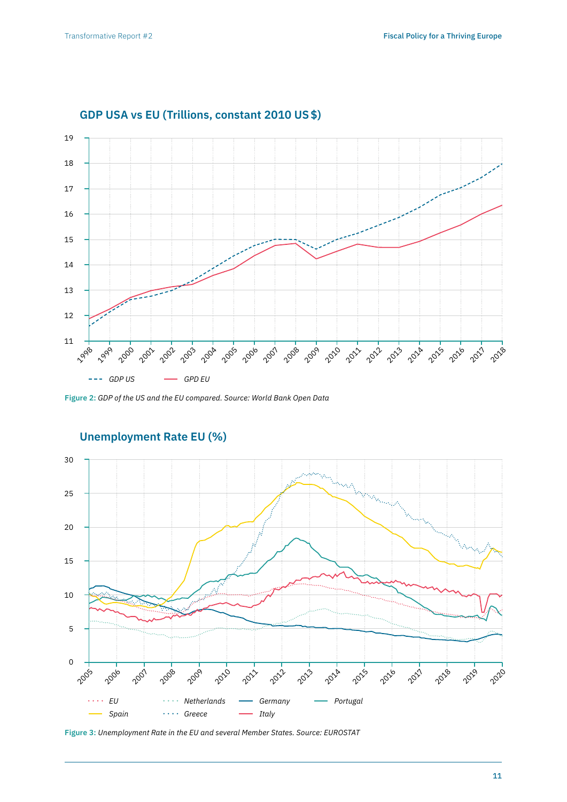

## **GDP USA vs EU (Trillions, constant 2010 US\$)**

**Figure 2:** *GDP of the US and the EU compared. Source: World Bank Open Data*



# **Unemployment Rate EU (%)**

**Figure 3:** *Unemployment Rate in the EU and several Member States. Source: EUROSTAT*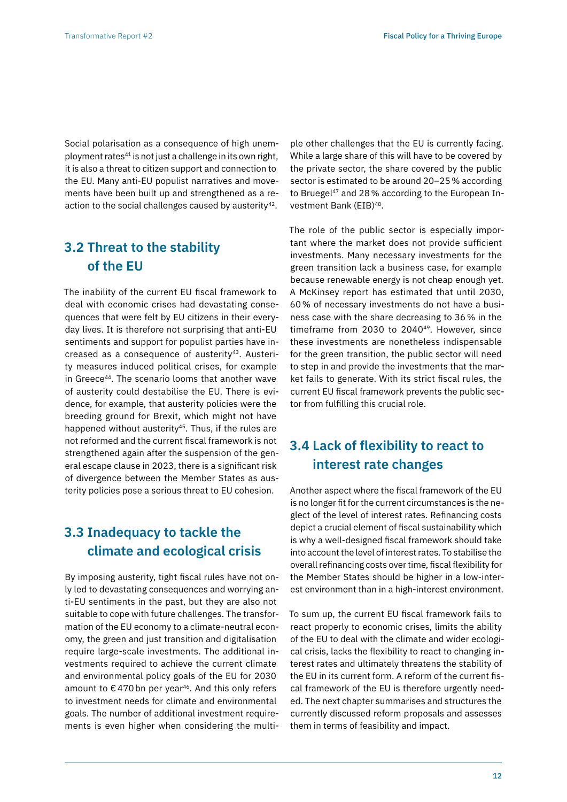Social polarisation as a consequence of high unemployment rates<sup>41</sup> is not just a challenge in its own right, it is also a threat to citizen support and connection to the EU. Many anti-EU populist narratives and movements have been built up and strengthened as a reaction to the social challenges caused by austerity<sup>42</sup>.

# **3.2 Threat to the stability of the EU**

The inability of the current EU fiscal framework to deal with economic crises had devastating consequences that were felt by EU citizens in their everyday lives. It is therefore not surprising that anti-EU sentiments and support for populist parties have increased as a consequence of austerity<sup>43</sup>. Austerity measures induced political crises, for example in Greece44. The scenario looms that another wave of austerity could destabilise the EU. There is evidence, for example, that austerity policies were the breeding ground for Brexit, which might not have happened without austerity<sup>45</sup>. Thus, if the rules are not reformed and the current fiscal framework is not strengthened again after the suspension of the general escape clause in 2023, there is a significant risk of divergence between the Member States as austerity policies pose a serious threat to EU cohesion.

# **3.3 Inadequacy to tackle the climate and ecological crisis**

By imposing austerity, tight fiscal rules have not only led to devastating consequences and worrying anti-EU sentiments in the past, but they are also not suitable to cope with future challenges. The transformation of the EU economy to a climate-neutral economy, the green and just transition and digitalisation require large-scale investments. The additional investments required to achieve the current climate and environmental policy goals of the EU for 2030 amount to  $\epsilon$  470 bn per year<sup>46</sup>. And this only refers to investment needs for climate and environmental goals. The number of additional investment requirements is even higher when considering the multi-

ple other challenges that the EU is currently facing. While a large share of this will have to be covered by the private sector, the share covered by the public sector is estimated to be around 20–25% according to Bruegel<sup>47</sup> and 28% according to the European Investment Bank (EIB)48.

The role of the public sector is especially important where the market does not provide sufficient investments. Many necessary investments for the green transition lack a business case, for example because renewable energy is not cheap enough yet. A McKinsey report has estimated that until 2030, 60% of necessary investments do not have a business case with the share decreasing to 36% in the timeframe from 2030 to 2040<sup>49</sup>. However, since these investments are nonetheless indispensable for the green transition, the public sector will need to step in and provide the investments that the market fails to generate. With its strict fiscal rules, the current EU fiscal framework prevents the public sector from fulfilling this crucial role.

# **3.4 Lack of flexibility to react to interest rate changes**

Another aspect where the fiscal framework of the EU is no longer fit for the current circumstances is the neglect of the level of interest rates. Refinancing costs depict a crucial element of fiscal sustainability which is why a well-designed fiscal framework should take into account the level of interest rates. To stabilise the overall refinancing costs over time, fiscal flexibility for the Member States should be higher in a low-interest environment than in a high-interest environment.

To sum up, the current EU fiscal framework fails to react properly to economic crises, limits the ability of the EU to deal with the climate and wider ecological crisis, lacks the flexibility to react to changing interest rates and ultimately threatens the stability of the EU in its current form. A reform of the current fiscal framework of the EU is therefore urgently needed. The next chapter summarises and structures the currently discussed reform proposals and assesses them in terms of feasibility and impact.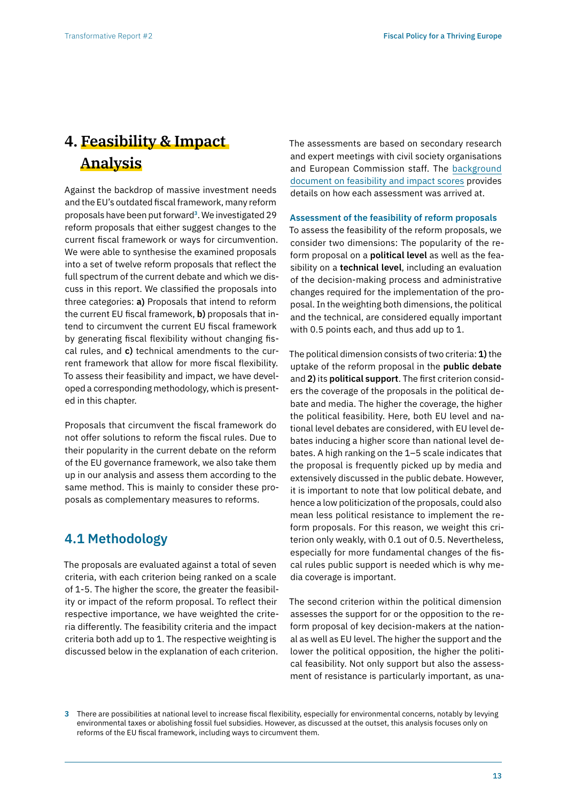# **4. Feasibility & Impact Analysis**

Against the backdrop of massive investment needs and the EU's outdated fiscal framework, many reform proposals have been put forward**3**. We investigated 29 reform proposals that either suggest changes to the current fiscal framework or ways for circumvention. We were able to synthesise the examined proposals into a set of twelve reform proposals that reflect the full spectrum of the current debate and which we discuss in this report. We classified the proposals into three categories: **a)** Proposals that intend to reform the current EU fiscal framework, **b)** proposals that intend to circumvent the current EU fiscal framework by generating fiscal flexibility without changing fiscal rules, and **c)** technical amendments to the current framework that allow for more fiscal flexibility. To assess their feasibility and impact, we have developed a corresponding methodology, which is presented in this chapter.

Proposals that circumvent the fiscal framework do not offer solutions to reform the fiscal rules. Due to their popularity in the current debate on the reform of the EU governance framework, we also take them up in our analysis and assess them according to the same method. This is mainly to consider these proposals as complementary measures to reforms.

# **4.1 Methodology**

The proposals are evaluated against a total of seven criteria, with each criterion being ranked on a scale of 1-5. The higher the score, the greater the feasibility or impact of the reform proposal. To reflect their respective importance, we have weighted the criteria differently. The feasibility criteria and the impact criteria both add up to 1. The respective weighting is discussed below in the explanation of each criterion. The assessments are based on secondary research and expert meetings with civil society organisations and European Commission staff. The [background](https://zoe-institut.de/en/publication/an-analysis-of-the-feasibility-and-impact-of-proposals-for-reforming-fiscal-policy-in-the-eu/)  [document on feasibility and impact scores](https://zoe-institut.de/en/publication/an-analysis-of-the-feasibility-and-impact-of-proposals-for-reforming-fiscal-policy-in-the-eu/) provides details on how each assessment was arrived at.

## **Assessment of the feasibility of reform proposals**

To assess the feasibility of the reform proposals, we consider two dimensions: The popularity of the reform proposal on a **political level** as well as the feasibility on a **technical level**, including an evaluation of the decision-making process and administrative changes required for the implementation of the proposal. In the weighting both dimensions, the political and the technical, are considered equally important with 0.5 points each, and thus add up to 1.

The political dimension consists of two criteria: **1)** the uptake of the reform proposal in the **public debate**  and **2)** its **political support**. The first criterion considers the coverage of the proposals in the political debate and media. The higher the coverage, the higher the political feasibility. Here, both EU level and national level debates are considered, with EU level debates inducing a higher score than national level debates. A high ranking on the 1–5 scale indicates that the proposal is frequently picked up by media and extensively discussed in the public debate. However, it is important to note that low political debate, and hence a low politicization of the proposals, could also mean less political resistance to implement the reform proposals. For this reason, we weight this criterion only weakly, with 0.1 out of 0.5. Nevertheless, especially for more fundamental changes of the fiscal rules public support is needed which is why media coverage is important.

The second criterion within the political dimension assesses the support for or the opposition to the reform proposal of key decision-makers at the national as well as EU level. The higher the support and the lower the political opposition, the higher the political feasibility. Not only support but also the assessment of resistance is particularly important, as una-

**<sup>3</sup>** There are possibilities at national level to increase fiscal flexibility, especially for environmental concerns, notably by levying environmental taxes or abolishing fossil fuel subsidies. However, as discussed at the outset, this analysis focuses only on reforms of the EU fiscal framework, including ways to circumvent them.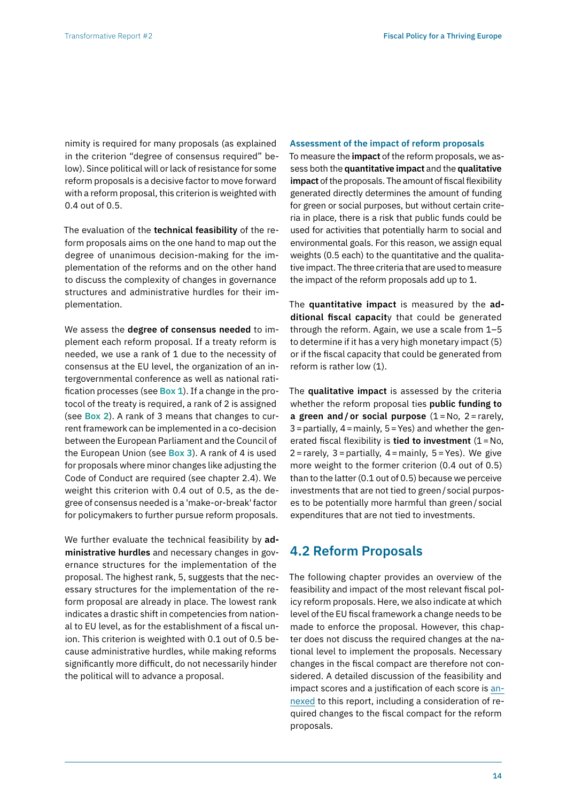nimity is required for many proposals (as explained in the criterion "degree of consensus required" below). Since political will or lack of resistance for some reform proposals is a decisive factor to move forward with a reform proposal, this criterion is weighted with 0.4 out of 0.5.

The evaluation of the **technical feasibility** of the reform proposals aims on the one hand to map out the degree of unanimous decision-making for the implementation of the reforms and on the other hand to discuss the complexity of changes in governance structures and administrative hurdles for their implementation.

We assess the **degree of consensus needed** to implement each reform proposal. If a treaty reform is needed, we use a rank of 1 due to the necessity of consensus at the EU level, the organization of an intergovernmental conference as well as national ratification processes (see **Box 1**). If a change in the protocol of the treaty is required, a rank of 2 is assigned (see **Box 2**). A rank of 3 means that changes to current framework can be implemented in a co-decision between the European Parliament and the Council of the European Union (see **Box 3**). A rank of 4 is used for proposals where minor changes like adjusting the Code of Conduct are required (see chapter 2.4). We weight this criterion with 0.4 out of 0.5, as the degree of consensus needed is a 'make-or-break' factor for policymakers to further pursue reform proposals.

We further evaluate the technical feasibility by **administrative hurdles** and necessary changes in governance structures for the implementation of the proposal. The highest rank, 5, suggests that the necessary structures for the implementation of the reform proposal are already in place. The lowest rank indicates a drastic shift in competencies from national to EU level, as for the establishment of a fiscal union. This criterion is weighted with 0.1 out of 0.5 because administrative hurdles, while making reforms significantly more difficult, do not necessarily hinder the political will to advance a proposal.

#### **Assessment of the impact of reform proposals**

To measure the **impact** of the reform proposals, we assess both the **quantitative impact** and the **qualitative impact** of the proposals. The amount of fiscal flexibility generated directly determines the amount of funding for green or social purposes, but without certain criteria in place, there is a risk that public funds could be used for activities that potentially harm to social and environmental goals. For this reason, we assign equal weights (0.5 each) to the quantitative and the qualitative impact. The three criteria that are used to measure the impact of the reform proposals add up to 1.

The **quantitative impact** is measured by the **additional fiscal capacit**y that could be generated through the reform. Again, we use a scale from 1–5 to determine if it has a very high monetary impact (5) or if the fiscal capacity that could be generated from reform is rather low (1).

The **qualitative impact** is assessed by the criteria whether the reform proposal ties **public funding to a green and / or social purpose** (1= No, 2=rarely,  $3 =$  partially,  $4 =$  mainly,  $5 =$  Yes) and whether the generated fiscal flexibility is **tied to investment**  $(1 = No,$  $2 =$ rarely,  $3 =$ partially,  $4 =$ mainly,  $5 =$ Yes). We give more weight to the former criterion (0.4 out of 0.5) than to the latter (0.1 out of 0.5) because we perceive investments that are not tied to green/ social purposes to be potentially more harmful than green/ social expenditures that are not tied to investments.

## **4.2 Reform Proposals**

The following chapter provides an overview of the feasibility and impact of the most relevant fiscal policy reform proposals. Here, we also indicate at which level of the EU fiscal framework a change needs to be made to enforce the proposal. However, this chapter does not discuss the required changes at the national level to implement the proposals. Necessary changes in the fiscal compact are therefore not considered. A detailed discussion of the feasibility and impact scores and a justification of each score is [an](https://zoe-institut.de/en/publication/an-analysis-of-the-feasibility-and-impact-of-proposals-for-reforming-fiscal-policy-in-the-eu/)[nexed](https://zoe-institut.de/en/publication/an-analysis-of-the-feasibility-and-impact-of-proposals-for-reforming-fiscal-policy-in-the-eu/) to this report, including a consideration of required changes to the fiscal compact for the reform proposals.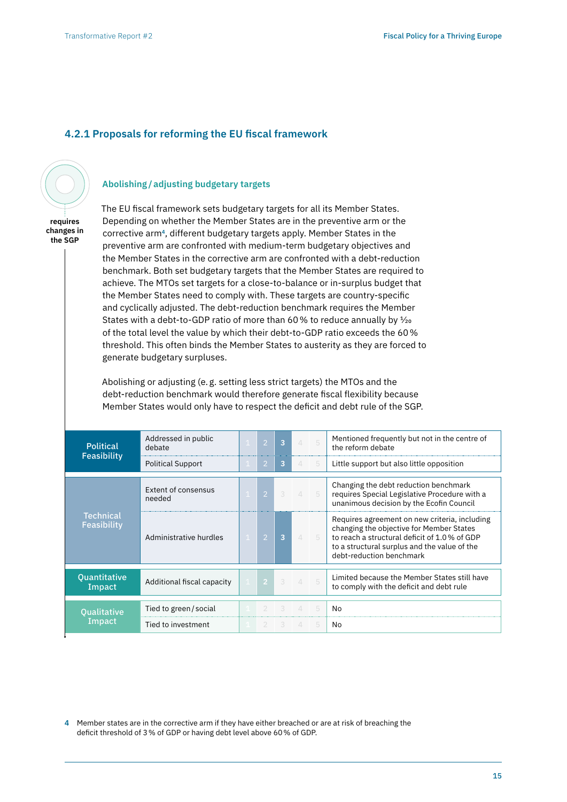## **4.2.1 Proposals for reforming the EU fiscal framework**

**Abolishing/adjusting budgetary targets**



**changes in the SGP** 

The EU fiscal framework sets budgetary targets for all its Member States. Depending on whether the Member States are in the preventive arm or the corrective arm**4**, different budgetary targets apply. Member States in the preventive arm are confronted with medium-term budgetary objectives and the Member States in the corrective arm are confronted with a debt-reduction benchmark. Both set budgetary targets that the Member States are required to achieve. The MTOs set targets for a close-to-balance or in-surplus budget that the Member States need to comply with. These targets are country-specific and cyclically adjusted. The debt-reduction benchmark requires the Member States with a debt-to-GDP ratio of more than 60% to reduce annually by  $\frac{1}{20}$ of the total level the value by which their debt-to-GDP ratio exceeds the 60% threshold. This often binds the Member States to austerity as they are forced to generate budgetary surpluses.

Abolishing or adjusting (e. g. setting less strict targets) the MTOs and the debt-reduction benchmark would therefore generate fiscal flexibility because Member States would only have to respect the deficit and debt rule of the SGP.

| <b>Political</b><br><b>Feasibility</b>           | Addressed in public<br>debate | $\overline{2}$ | $\overline{3}$ | $\angle$      | 5          | Mentioned frequently but not in the centre of<br>the reform debate                                                                                                                                                    |
|--------------------------------------------------|-------------------------------|----------------|----------------|---------------|------------|-----------------------------------------------------------------------------------------------------------------------------------------------------------------------------------------------------------------------|
|                                                  | <b>Political Support</b>      | 2              | 3              | $\Delta$      | 5          | Little support but also little opposition                                                                                                                                                                             |
| needed<br><b>Technical</b><br><b>Feasibility</b> | Extent of consensus           | $\overline{2}$ | $\mathcal{R}$  | $\mathcal{A}$ | $-5$       | Changing the debt reduction benchmark<br>requires Special Legislative Procedure with a<br>unanimous decision by the Ecofin Council                                                                                    |
|                                                  | Administrative hurdles        | $\overline{2}$ | $\overline{3}$ | $\mathcal{A}$ | $\sqrt{2}$ | Requires agreement on new criteria, including<br>changing the objective for Member States<br>to reach a structural deficit of 1.0% of GDP<br>to a structural surplus and the value of the<br>debt-reduction benchmark |
| <b>Quantitative</b><br>Impact                    | Additional fiscal capacity    | $\overline{2}$ | 3              | $\mathcal{L}$ | 5          | Limited because the Member States still have<br>to comply with the deficit and debt rule                                                                                                                              |
| <b>Qualitative</b>                               | Tied to green/social          |                | 3              | $\perp$       | 5          | No                                                                                                                                                                                                                    |
| Impact                                           | Tied to investment            | 2              | 3              | $\mathcal{A}$ | 5          | No                                                                                                                                                                                                                    |

**4** Member states are in the corrective arm if they have either breached or are at risk of breaching the deficit threshold of 3% of GDP or having debt level above 60% of GDP.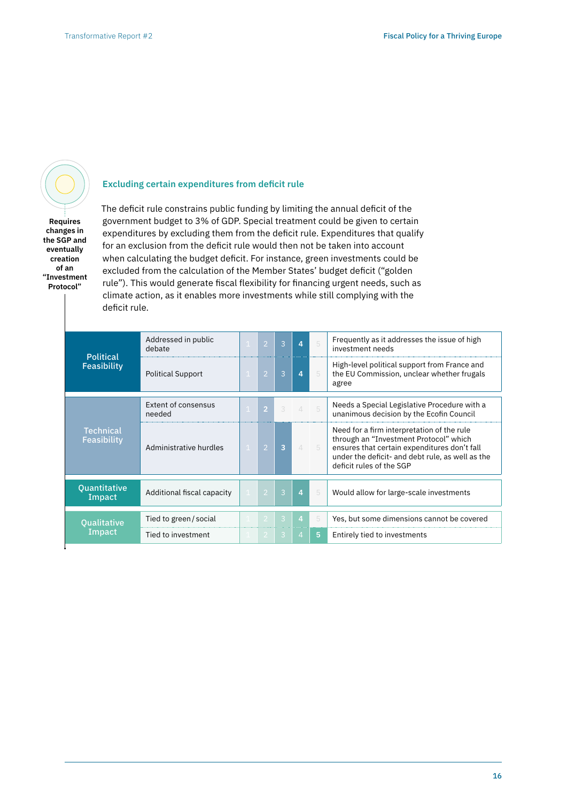**Requires changes in the SGP and eventually creation of an "Investment Protocol"**

## **Excluding certain expenditures from deficit rule**

The deficit rule constrains public funding by limiting the annual deficit of the government budget to 3% of GDP. Special treatment could be given to certain expenditures by excluding them from the deficit rule. Expenditures that qualify for an exclusion from the deficit rule would then not be taken into account when calculating the budget deficit. For instance, green investments could be excluded from the calculation of the Member States' budget deficit ("golden rule"). This would generate fiscal flexibility for financing urgent needs, such as climate action, as it enables more investments while still complying with the deficit rule.

| <b>Political</b>                | Addressed in public<br>debate | $\overline{2}$ | $\mathcal{B}$           | $\overline{4}$           | 5    | Frequently as it addresses the issue of high<br>investment needs                                                                                                                                                     |
|---------------------------------|-------------------------------|----------------|-------------------------|--------------------------|------|----------------------------------------------------------------------------------------------------------------------------------------------------------------------------------------------------------------------|
| <b>Feasibility</b>              | <b>Political Support</b>      | $\overline{2}$ | 3                       | $\overline{4}$           |      | High-level political support from France and<br>the EU Commission, unclear whether frugals<br>agree                                                                                                                  |
|                                 | Extent of consensus<br>needed | Ø              | 3                       | $\overline{\mathcal{A}}$ | $-5$ | Needs a Special Legislative Procedure with a<br>unanimous decision by the Ecofin Council                                                                                                                             |
| <b>Technical</b><br>Feasibility | Administrative hurdles        | $\mathcal{P}$  | $\overline{3}$          | $\mathcal{A}$            | $-5$ | Need for a firm interpretation of the rule<br>through an "Investment Protocol" which<br>ensures that certain expenditures don't fall<br>under the deficit- and debt rule, as well as the<br>deficit rules of the SGP |
| Quantitative<br>Impact          | Additional fiscal capacity    | $\overline{2}$ | $\overline{3}$          | $\overline{4}$           | 5    | Would allow for large-scale investments                                                                                                                                                                              |
| <b>Oualitative</b>              | Tied to green / social        | -2             | $\overline{\mathbf{3}}$ | $\overline{4}$           | 5    | Yes, but some dimensions cannot be covered                                                                                                                                                                           |
| Impact                          | Tied to investment            | -2             | 3                       | $\overline{4}$           | 5    | Entirely tied to investments                                                                                                                                                                                         |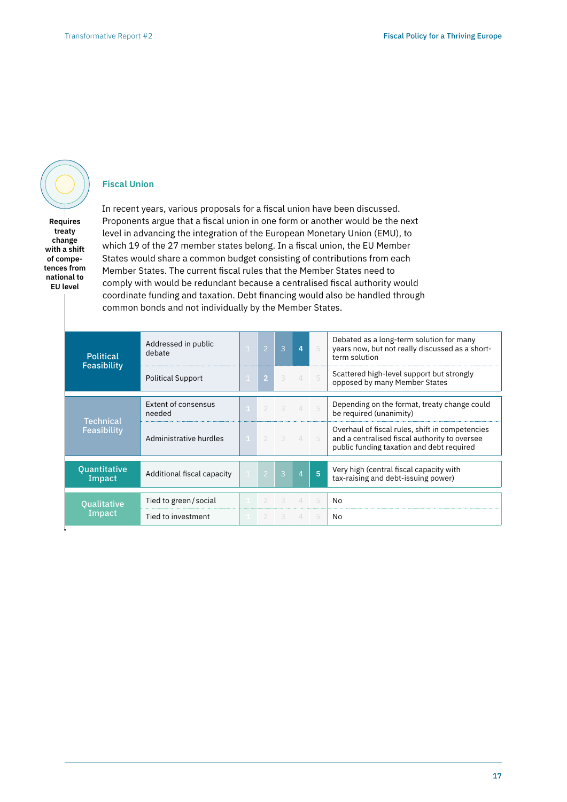**Fiscal Union**

**Requires treaty change with a shift of competences from national to EU level**

## In recent years, various proposals for a fiscal union have been discussed. Proponents argue that a fiscal union in one form or another would be the next level in advancing the integration of the European Monetary Union (EMU), to which 19 of the 27 member states belong. In a fiscal union, the EU Member States would share a common budget consisting of contributions from each Member States. The current fiscal rules that the Member States need to comply with would be redundant because a centralised fiscal authority would coordinate funding and taxation. Debt financing would also be handled through common bonds and not individually by the Member States.

| <b>Political</b>                | Addressed in public<br>debate |                | $\mathcal{P}$  | $\mathcal{B}$  | $\overline{a}$ | 5    | Debated as a long-term solution for many<br>years now, but not really discussed as a short-<br>term solution                                  |
|---------------------------------|-------------------------------|----------------|----------------|----------------|----------------|------|-----------------------------------------------------------------------------------------------------------------------------------------------|
| Feasibility                     | <b>Political Support</b>      | $\mathbf{1}$   | $\overline{2}$ | 3              | $\mathcal{A}$  | $-5$ | Scattered high-level support but strongly<br>opposed by many Member States                                                                    |
|                                 | Extent of consensus<br>needed | $\overline{1}$ |                | $3 \t 4 \t 5$  |                |      | Depending on the format, treaty change could<br>be required (unanimity)                                                                       |
| <b>Technical</b><br>Feasibility | Administrative hurdles        | $\mathbf{1}$   | $2 \times 3$   |                | 45             |      | Overhaul of fiscal rules, shift in competencies<br>and a centralised fiscal authority to oversee<br>public funding taxation and debt required |
| <b>Quantitative</b><br>Impact   | Additional fiscal capacity    | $\pm$          | $\overline{2}$ | $\overline{3}$ | $\overline{4}$ | 5    | Very high (central fiscal capacity with<br>tax-raising and debt-issuing power)                                                                |
| <b>Qualitative</b>              | Tied to green / social        |                |                |                |                | 5    | No                                                                                                                                            |
| Impact                          | Tied to investment            |                | $2 \t3$        |                | $\mathcal{A}$  | -5   | No                                                                                                                                            |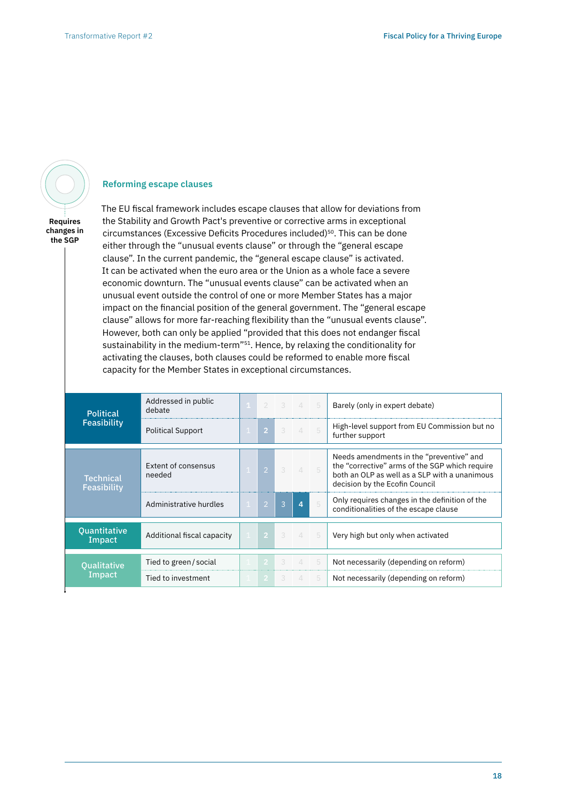

## **Reforming escape clauses**

**Requires changes in the SGP**

The EU fiscal framework includes escape clauses that allow for deviations from the Stability and Growth Pact's preventive or corrective arms in exceptional circumstances (Excessive Deficits Procedures included)<sup>50</sup>. This can be done either through the "unusual events clause" or through the "general escape clause". In the current pandemic, the "general escape clause" is activated. It can be activated when the euro area or the Union as a whole face a severe economic downturn. The "unusual events clause" can be activated when an unusual event outside the control of one or more Member States has a major impact on the financial position of the general government. The "general escape clause" allows for more far-reaching flexibility than the "unusual events clause". However, both can only be applied "provided that this does not endanger fiscal sustainability in the medium-term"<sup>51</sup>. Hence, by relaxing the conditionality for activating the clauses, both clauses could be reformed to enable more fiscal capacity for the Member States in exceptional circumstances.

| <b>Political</b>              | Addressed in public<br>debate |                | $2 \t3 \t4 \t5$ |                |     | Barely (only in expert debate)                                                                                                                                                |
|-------------------------------|-------------------------------|----------------|-----------------|----------------|-----|-------------------------------------------------------------------------------------------------------------------------------------------------------------------------------|
| <b>Feasibility</b>            | <b>Political Support</b>      | $\overline{2}$ | 3               | 45             |     | High-level support from EU Commission but no<br>further support                                                                                                               |
|                               |                               |                |                 |                |     |                                                                                                                                                                               |
| Technical<br>Feasibility      | Extent of consensus<br>needed | $\overline{2}$ | 3               | $\mathcal{A}$  |     | Needs amendments in the "preventive" and<br>the "corrective" arms of the SGP which require<br>both an OLP as well as a SLP with a unanimous<br>decision by the Ecofin Council |
|                               | Administrative hurdles        | $\overline{2}$ | $\overline{3}$  | $\overline{a}$ | 5   | Only requires changes in the definition of the<br>conditionalities of the escape clause                                                                                       |
|                               |                               |                |                 |                |     |                                                                                                                                                                               |
| <b>Quantitative</b><br>Impact | Additional fiscal capacity    | $\clubsuit$    | 3 <sup>o</sup>  | 45             |     | Very high but only when activated                                                                                                                                             |
|                               |                               |                |                 |                |     |                                                                                                                                                                               |
| <b>Qualitative</b>            | Tied to green / social        | -2             | 3               | $\Delta$       | -5  | Not necessarily (depending on reform)                                                                                                                                         |
| Impact                        | Tied to investment            | $\overline{2}$ | 3               | $\overline{4}$ | - 5 | Not necessarily (depending on reform)                                                                                                                                         |
|                               |                               |                |                 |                |     |                                                                                                                                                                               |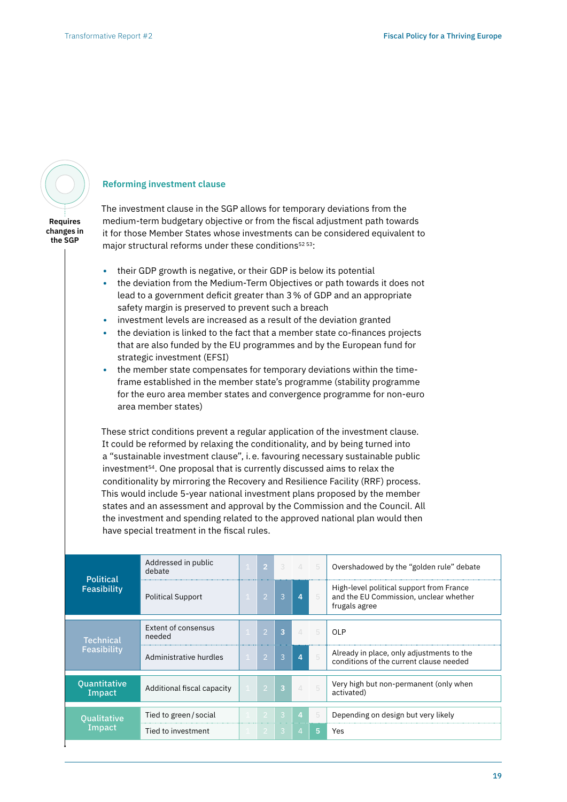# **Requires**

**changes in the SGP**

#### **Reforming investment clause**

The investment clause in the SGP allows for temporary deviations from the medium-term budgetary objective or from the fiscal adjustment path towards it for those Member States whose investments can be considered equivalent to major structural reforms under these conditions $5253$ :

- **•** their GDP growth is negative, or their GDP is below its potential
- **•** the deviation from the Medium-Term Objectives or path towards it does not lead to a government deficit greater than 3% of GDP and an appropriate safety margin is preserved to prevent such a breach
- **•** investment levels are increased as a result of the deviation granted
- **•** the deviation is linked to the fact that a member state co-finances projects that are also funded by the EU programmes and by the European fund for strategic investment (EFSI)
- **•** the member state compensates for temporary deviations within the timeframe established in the member state's programme (stability programme for the euro area member states and convergence programme for non-euro area member states)

These strict conditions prevent a regular application of the investment clause. It could be reformed by relaxing the conditionality, and by being turned into a "sustainable investment clause", i.e. favouring necessary sustainable public investment54. One proposal that is currently discussed aims to relax the conditionality by mirroring the Recovery and Resilience Facility (RRF) process. This would include 5-year national investment plans proposed by the member states and an assessment and approval by the Commission and the Council. All the investment and spending related to the approved national plan would then have special treatment in the fiscal rules.

| Addressed in public<br>debate |             | $\overline{2}$ | $\mathcal{E}$  |                |                | Overshadowed by the "golden rule" debate                                                            |
|-------------------------------|-------------|----------------|----------------|----------------|----------------|-----------------------------------------------------------------------------------------------------|
| <b>Political Support</b>      |             | $\overline{2}$ | $\mathcal{B}$  | $\overline{4}$ | 5              | High-level political support from France<br>and the EU Commission, unclear whether<br>frugals agree |
| Extent of consensus<br>needed |             | ı2'            | $\overline{3}$ | $\mathcal{A}$  | -5             | <b>OLP</b>                                                                                          |
| Administrative hurdles        | $\mathbf 1$ | $\overline{2}$ | $\overline{3}$ | $\overline{4}$ | $\overline{5}$ | Already in place, only adjustments to the<br>conditions of the current clause needed                |
| Additional fiscal capacity    |             | -2             | $\overline{3}$ | $\angle$       | $-5$           | Very high but non-permanent (only when<br>activated)                                                |
| Tied to green/social          |             | $\mathcal{L}$  | $\mathcal{B}$  | $\overline{4}$ | 5              | Depending on design but very likely                                                                 |
| Tied to investment            |             | -2             | -3             | $\overline{4}$ | 5              | Yes                                                                                                 |
|                               |             |                |                |                |                | 45                                                                                                  |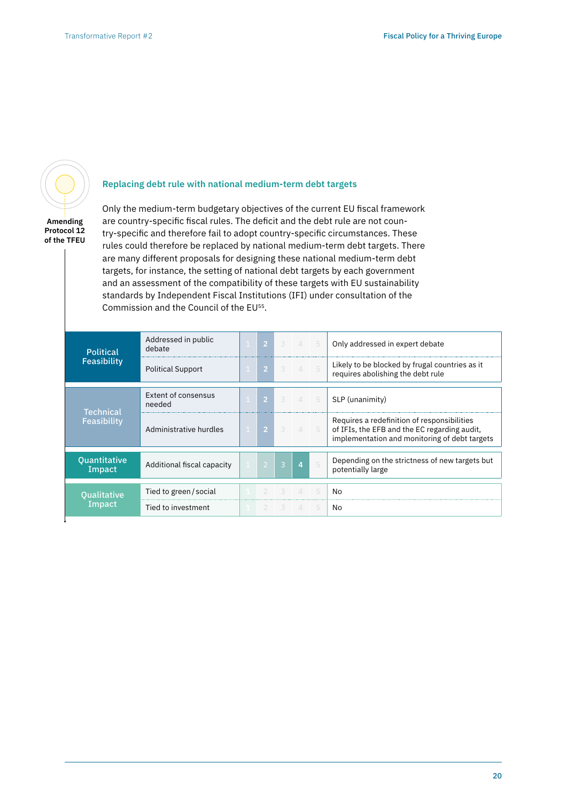

## **Replacing debt rule with national medium-term debt targets**

**Amending Protocol 12 of the TFEU** Only the medium-term budgetary objectives of the current EU fiscal framework are country-specific fiscal rules. The deficit and the debt rule are not country-specific and therefore fail to adopt country-specific circumstances. These rules could therefore be replaced by national medium-term debt targets. There are many different proposals for designing these national medium-term debt targets, for instance, the setting of national debt targets by each government and an assessment of the compatibility of these targets with EU sustainability standards by Independent Fiscal Institutions (IFI) under consultation of the Commission and the Council of the EU55.

| <b>Political</b>                | Addressed in public<br>debate |                | $2 \quad 3$    | 45             |    | Only addressed in expert debate                                                                                                              |
|---------------------------------|-------------------------------|----------------|----------------|----------------|----|----------------------------------------------------------------------------------------------------------------------------------------------|
| <b>Feasibility</b>              | <b>Political Support</b>      | $\overline{2}$ |                | $3 \t4 \t5$    |    | Likely to be blocked by frugal countries as it<br>requires abolishing the debt rule                                                          |
|                                 | Extent of consensus<br>needed | 2 <sup>7</sup> | $-3 -$         | 45             |    | SLP (unanimity)                                                                                                                              |
| <b>Technical</b><br>Feasibility | Administrative hurdles        | $\overline{2}$ | $\mathcal{E}$  | 45             |    | Requires a redefinition of responsibilities<br>of IFIs, the EFB and the EC regarding audit,<br>implementation and monitoring of debt targets |
| Quantitative<br>Impact          | Additional fiscal capacity    | $\overline{2}$ | $\overline{3}$ | $\overline{4}$ | 5  | Depending on the strictness of new targets but<br>potentially large                                                                          |
| <b>Qualitative</b>              | Tied to green/social          |                |                |                | -5 | No                                                                                                                                           |
| Impact                          | Tied to investment            |                | $2 \quad 3$    | $\Delta$       | 5  | No                                                                                                                                           |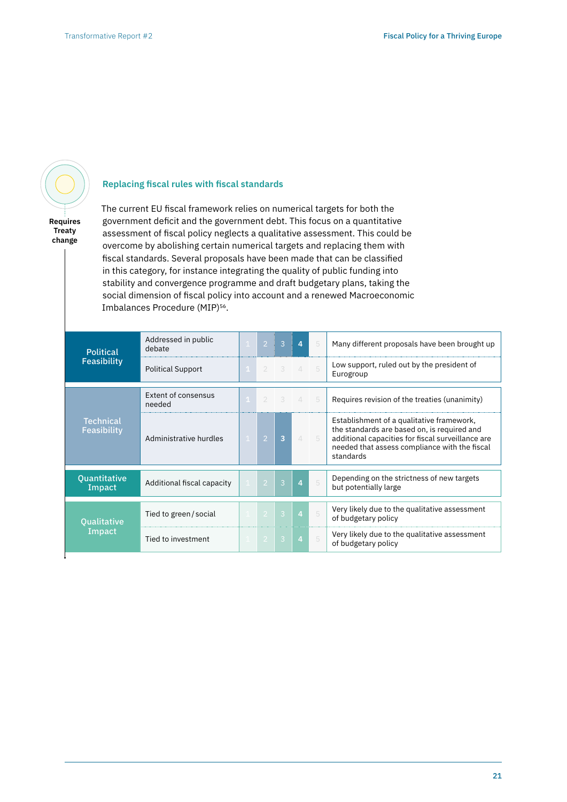

**Replacing fiscal rules with fiscal standards**

**Requires Treaty change**

The current EU fiscal framework relies on numerical targets for both the government deficit and the government debt. This focus on a quantitative assessment of fiscal policy neglects a qualitative assessment. This could be overcome by abolishing certain numerical targets and replacing them with fiscal standards. Several proposals have been made that can be classified in this category, for instance integrating the quality of public funding into stability and convergence programme and draft budgetary plans, taking the social dimension of fiscal policy into account and a renewed Macroeconomic Imbalances Procedure (MIP)<sup>56</sup>.

| <b>Political</b>                       | Addressed in public<br>debate |              | $\overline{2}$ | $\overline{3}$             | $\overline{4}$ | 5    | Many different proposals have been brought up                                                                                                                                                               |
|----------------------------------------|-------------------------------|--------------|----------------|----------------------------|----------------|------|-------------------------------------------------------------------------------------------------------------------------------------------------------------------------------------------------------------|
| <b>Feasibility</b>                     | <b>Political Support</b>      | $\mathbf{1}$ | $\mathcal{D}$  | $\overline{\phantom{0}}$ 3 | $\overline{4}$ | 5    | Low support, ruled out by the president of<br>Eurogroup                                                                                                                                                     |
|                                        | Extent of consensus<br>needed |              | 2              | $\overline{\phantom{0}3}$  | $\mathcal{A}$  | $-5$ | Requires revision of the treaties (unanimity)                                                                                                                                                               |
| <b>Technical</b><br><b>Feasibility</b> | Administrative hurdles        |              | $\overline{2}$ | 3                          | $\perp$        | 5    | Establishment of a qualitative framework,<br>the standards are based on, is required and<br>additional capacities for fiscal surveillance are<br>needed that assess compliance with the fiscal<br>standards |
| <b>Quantitative</b><br>Impact          | Additional fiscal capacity    |              | $\overline{2}$ | $\mathcal{B}$              | $\overline{4}$ | 5    | Depending on the strictness of new targets<br>but potentially large                                                                                                                                         |
| <b>Qualitative</b>                     | Tied to green / social        |              | -2             | $\overline{3}$             | $\overline{4}$ | 5    | Very likely due to the qualitative assessment<br>of budgetary policy                                                                                                                                        |
| Impact                                 | Tied to investment            |              | -2             | $\overline{3}$             | $\overline{4}$ | 5    | Very likely due to the qualitative assessment<br>of budgetary policy                                                                                                                                        |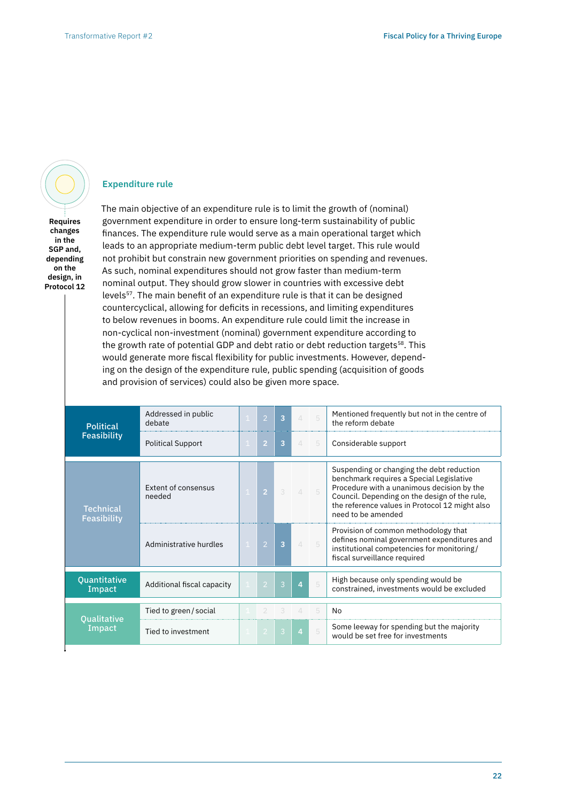#### **Expenditure rule**

**Requires changes in the SGP and, depending on the design, in Protocol 12** The main objective of an expenditure rule is to limit the growth of (nominal) government expenditure in order to ensure long-term sustainability of public finances. The expenditure rule would serve as a main operational target which leads to an appropriate medium-term public debt level target. This rule would not prohibit but constrain new government priorities on spending and revenues. As such, nominal expenditures should not grow faster than medium-term nominal output. They should grow slower in countries with excessive debt levels<sup>57</sup>. The main benefit of an expenditure rule is that it can be designed countercyclical, allowing for deficits in recessions, and limiting expenditures to below revenues in booms. An expenditure rule could limit the increase in non-cyclical non-investment (nominal) government expenditure according to the growth rate of potential GDP and debt ratio or debt reduction targets<sup>58</sup>. This would generate more fiscal flexibility for public investments. However, depending on the design of the expenditure rule, public spending (acquisition of goods and provision of services) could also be given more space.

| <b>Political</b>                | Addressed in public<br>debate        | $\overline{2}$ | 3              | $\Delta$         | 5 | Mentioned frequently but not in the centre of<br>the reform debate                                                                                                                                                                                           |
|---------------------------------|--------------------------------------|----------------|----------------|------------------|---|--------------------------------------------------------------------------------------------------------------------------------------------------------------------------------------------------------------------------------------------------------------|
| Feasibility                     | <b>Political Support</b>             | $\overline{2}$ | 3              | $\perp$          | 5 | Considerable support                                                                                                                                                                                                                                         |
| <b>Technical</b><br>Feasibility | <b>Extent of consensus</b><br>needed | 2 <sup>1</sup> | 3              | $\mathbf{\perp}$ | 5 | Suspending or changing the debt reduction<br>benchmark requires a Special Legislative<br>Procedure with a unanimous decision by the<br>Council. Depending on the design of the rule,<br>the reference values in Protocol 12 might also<br>need to be amended |
|                                 | Administrative hurdles               | $\overline{2}$ | 3              | $\Delta$         | 5 | Provision of common methodology that<br>defines nominal government expenditures and<br>institutional competencies for monitoring/<br>fiscal surveillance required                                                                                            |
| Quantitative<br>Impact          | Additional fiscal capacity           | $\overline{2}$ | $\overline{3}$ | $\overline{a}$   | 5 | High because only spending would be<br>constrained, investments would be excluded                                                                                                                                                                            |
|                                 | Tied to green / social               |                |                |                  | 5 | No                                                                                                                                                                                                                                                           |
| <b>Qualitative</b><br>Impact    | Tied to investment                   | $\overline{2}$ | 3              | $\overline{4}$   | 5 | Some leeway for spending but the majority<br>would be set free for investments                                                                                                                                                                               |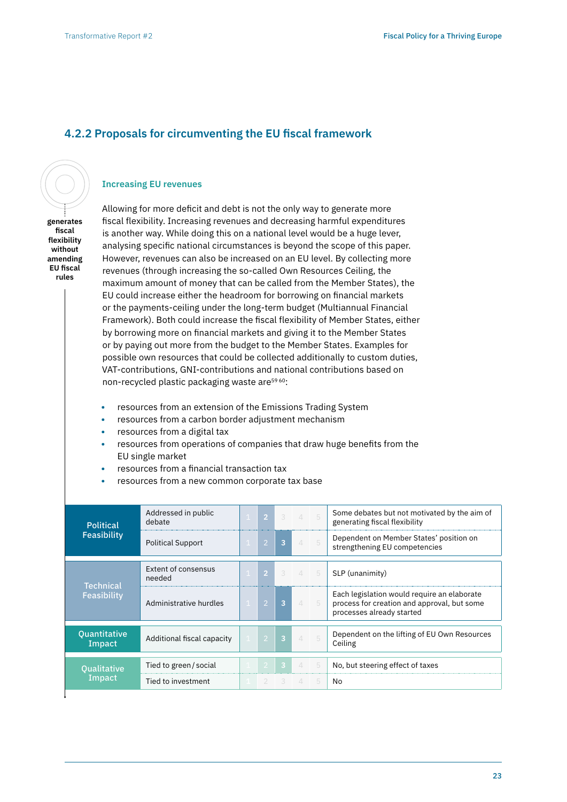## **4.2.2 Proposals for circumventing the EU fiscal framework**

### **Increasing EU revenues**

**generates fiscal flexibility without amending EU fiscal rules**

Allowing for more deficit and debt is not the only way to generate more fiscal flexibility. Increasing revenues and decreasing harmful expenditures is another way. While doing this on a national level would be a huge lever, analysing specific national circumstances is beyond the scope of this paper. However, revenues can also be increased on an EU level. By collecting more revenues (through increasing the so-called Own Resources Ceiling, the maximum amount of money that can be called from the Member States), the EU could increase either the headroom for borrowing on financial markets or the payments-ceiling under the long-term budget (Multiannual Financial Framework). Both could increase the fiscal flexibility of Member States, either by borrowing more on financial markets and giving it to the Member States or by paying out more from the budget to the Member States. Examples for possible own resources that could be collected additionally to custom duties, VAT-contributions, GNI-contributions and national contributions based on non-recycled plastic packaging waste are<sup>5960</sup>:

- **•** resources from an extension of the Emissions Trading System
- **•** resources from a carbon border adjustment mechanism
- **•** resources from a digital tax
- **•** resources from operations of companies that draw huge benefits from the EU single market
- **•** resources from a financial transaction tax
- **•** resources from a new common corporate tax base

| <b>Political</b><br>Feasibility | Addressed in public<br>debate | $\bullet$      | 3              | 45                       |      | Some debates but not motivated by the aim of<br>generating fiscal flexibility                                           |
|---------------------------------|-------------------------------|----------------|----------------|--------------------------|------|-------------------------------------------------------------------------------------------------------------------------|
|                                 | <b>Political Support</b>      | $\overline{2}$ | $\overline{3}$ | $\angle$                 | $-5$ | Dependent on Member States' position on<br>strengthening EU competencies                                                |
|                                 | Extent of consensus           |                |                |                          |      |                                                                                                                         |
| <b>Technical</b>                | needed                        | $\overline{2}$ | 3              |                          | 4 5  | SLP (unanimity)                                                                                                         |
| Feasibility                     | Administrative hurdles        | $\overline{2}$ | 3              | $\mathcal{A}$            | - 5  | Each legislation would require an elaborate<br>process for creation and approval, but some<br>processes already started |
|                                 |                               |                |                |                          |      |                                                                                                                         |
| <b>Quantitative</b><br>Impact   | Additional fiscal capacity    | $\overline{2}$ | $\overline{3}$ | $\triangle$              | $-5$ | Dependent on the lifting of EU Own Resources<br>Ceiling                                                                 |
|                                 |                               |                |                |                          |      |                                                                                                                         |
| Oualitative                     | Tied to green/social          | -2             | $\bullet$      | $\overline{\mathcal{A}}$ | -5   | No, but steering effect of taxes                                                                                        |
| Impact                          | Tied to investment            | 2              | 3 <sup>o</sup> | $\Delta$                 | 5    | No                                                                                                                      |
|                                 |                               |                |                |                          |      |                                                                                                                         |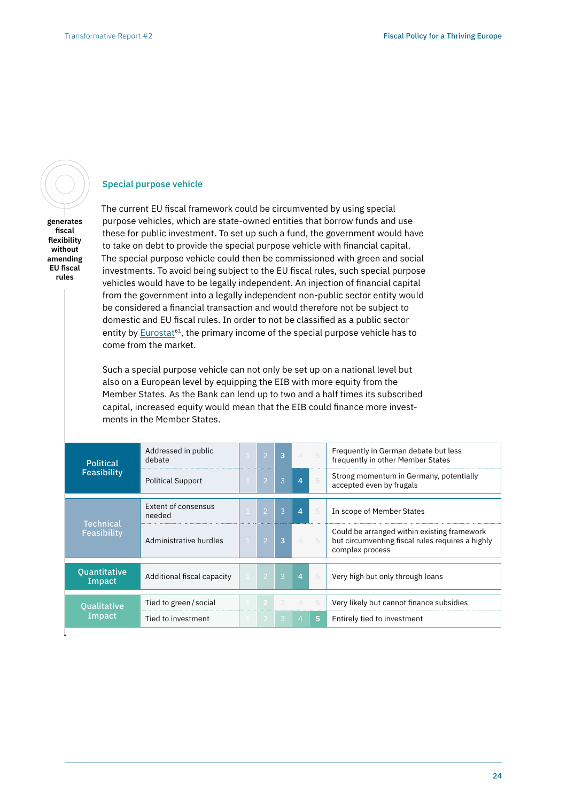

**Special purpose vehicle**

**generates fiscal flexibility without amending EU fiscal rules**

The current EU fiscal framework could be circumvented by using special purpose vehicles, which are state-owned entities that borrow funds and use these for public investment. To set up such a fund, the government would have to take on debt to provide the special purpose vehicle with financial capital. The special purpose vehicle could then be commissioned with green and social investments. To avoid being subject to the EU fiscal rules, such special purpose vehicles would have to be legally independent. An injection of financial capital from the government into a legally independent non-public sector entity would be considered a financial transaction and would therefore not be subject to domestic and EU fiscal rules. In order to not be classified as a public sector entity by Eurostat<sup>61</sup>, the primary income of the special purpose vehicle has to come from the market.

Such a special purpose vehicle can not only be set up on a national level but also on a European level by equipping the EIB with more equity from the Member States. As the Bank can lend up to two and a half times its subscribed capital, increased equity would mean that the EIB could finance more investments in the Member States.

| <b>Political</b><br>Feasibility | Addressed in public<br>debate | $\mathsf{C}$   | 3 | $\Delta$                | - 5 | Frequently in German debate but less<br>frequently in other Member States                                          |
|---------------------------------|-------------------------------|----------------|---|-------------------------|-----|--------------------------------------------------------------------------------------------------------------------|
|                                 | <b>Political Support</b>      | $\overline{2}$ | 3 | $\overline{\mathbf{4}}$ | 5   | Strong momentum in Germany, potentially<br>accepted even by frugals                                                |
|                                 | Extent of consensus<br>needed | D,             | 3 | 4                       | 5   | In scope of Member States                                                                                          |
| Technical<br>Feasibility        | Administrative hurdles        | $\mathsf{C}^1$ | 3 | 4                       | 5   | Could be arranged within existing framework<br>but circumventing fiscal rules requires a highly<br>complex process |
| <b>Ouantitative</b><br>Impact   | Additional fiscal capacity    | $\overline{2}$ | 3 | $\overline{4}$          | 5   | Very high but only through loans                                                                                   |
| <b>Qualitative</b><br>Impact    | Tied to green/social          | $\mathbf{2}$   | 3 | $\Delta$                | -5  | Very likely but cannot finance subsidies                                                                           |
|                                 | Tied to investment            | 2              | 3 | 47                      | 5.  | Entirely tied to investment                                                                                        |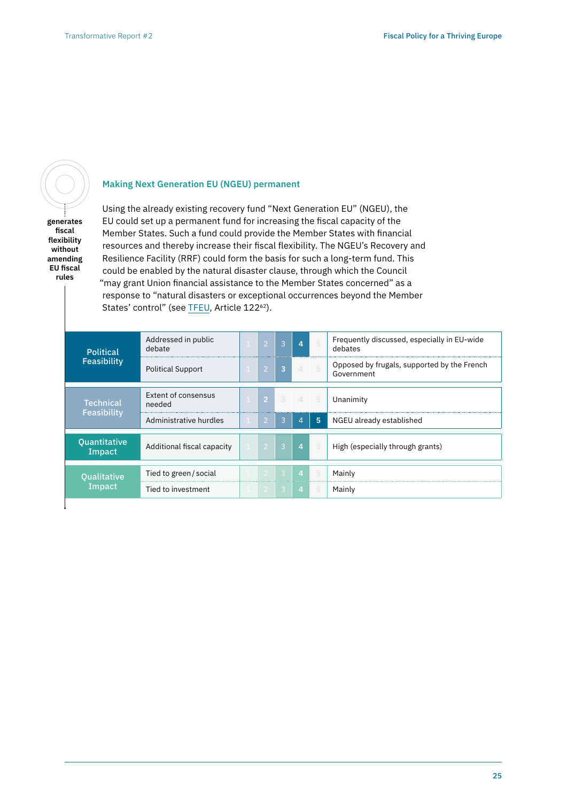

**generates fiscal flexibility without amending EU fiscal rules**

## **Making Next Generation EU (NGEU) permanent**

Using the already existing recovery fund "Next Generation EU" (NGEU), the EU could set up a permanent fund for increasing the fiscal capacity of the Member States. Such a fund could provide the Member States with financial resources and thereby increase their fiscal flexibility. The NGEU's Recovery and Resilience Facility (RRF) could form the basis for such a long-term fund. This could be enabled by the natural disaster clause, through which the Council "may grant Union financial assistance to the Member States concerned" as a response to "natural disasters or exceptional occurrences beyond the Member States' control" (see [TFEU](https://eur-lex.europa.eu/legal-content/EN/TXT/PDF/?uri=CELEX:12012E/TXT), Article 122<sup>62</sup>).

| <b>Political</b><br>Feasibility | Addressed in public<br>debate |  | D              | $\mathcal{B}$  | $\overline{4}$ | 5   | Frequently discussed, especially in EU-wide<br>debates    |
|---------------------------------|-------------------------------|--|----------------|----------------|----------------|-----|-----------------------------------------------------------|
|                                 | <b>Political Support</b>      |  | $\overline{2}$ | $\overline{3}$ | $\perp$        | - 5 | Opposed by frugals, supported by the French<br>Government |
| <b>Technical</b>                | Extent of consensus<br>needed |  | $2-1$          |                | $3 \t4 \t5$    |     | Unanimity                                                 |
| Feasibility                     | Administrative hurdles        |  | $\overline{2}$ | 3              | $\overline{4}$ | 5   | NGEU already established                                  |
| Quantitative<br>Impact          | Additional fiscal capacity    |  | $\overline{2}$ | $\overline{3}$ | $\overline{4}$ | 5   | High (especially through grants)                          |
| <b>Qualitative</b><br>Impact    | Tied to green / social        |  | $\mathcal{L}$  | $\overline{3}$ | $\overline{4}$ | 5   | Mainly                                                    |
|                                 | Tied to investment            |  | -2             | $\overline{3}$ | $\overline{4}$ | 5   | Mainly                                                    |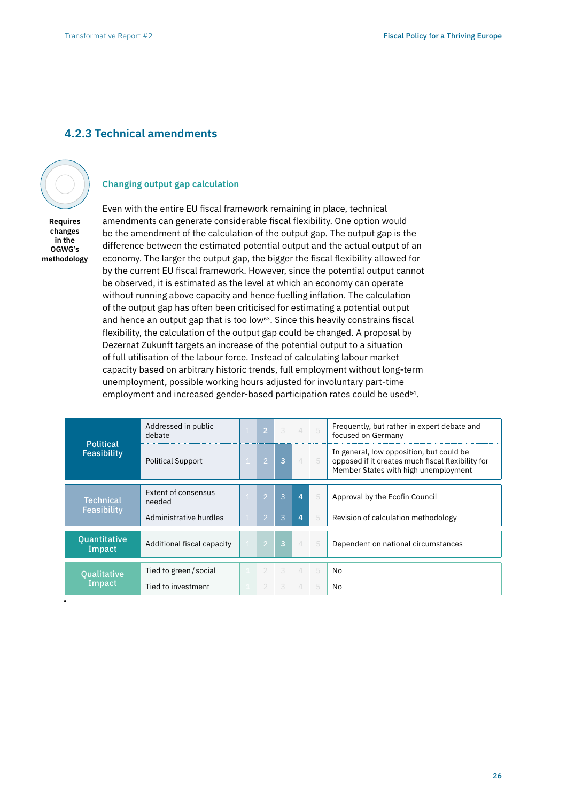## **4.2.3 Technical amendments**



**Requires changes in the OGWG's methodology**

#### **Changing output gap calculation**

Even with the entire EU fiscal framework remaining in place, technical amendments can generate considerable fiscal flexibility. One option would be the amendment of the calculation of the output gap. The output gap is the difference between the estimated potential output and the actual output of an economy. The larger the output gap, the bigger the fiscal flexibility allowed for by the current EU fiscal framework. However, since the potential output cannot be observed, it is estimated as the level at which an economy can operate without running above capacity and hence fuelling inflation. The calculation of the output gap has often been criticised for estimating a potential output and hence an output gap that is too low<sup>63</sup>. Since this heavily constrains fiscal flexibility, the calculation of the output gap could be changed. A proposal by Dezernat Zukunft targets an increase of the potential output to a situation of full utilisation of the labour force. Instead of calculating labour market capacity based on arbitrary historic trends, full employment without long-term unemployment, possible working hours adjusted for involuntary part-time employment and increased gender-based participation rates could be used<sup>64</sup>.

| <b>Political</b><br>Feasibility                             | Addressed in public<br>debate |  | $\mathcal{P}$  |               | $\Delta$ |                | Frequently, but rather in expert debate and<br>focused on Germany                                                                     |
|-------------------------------------------------------------|-------------------------------|--|----------------|---------------|----------|----------------|---------------------------------------------------------------------------------------------------------------------------------------|
|                                                             | <b>Political Support</b>      |  | $\overline{2}$ |               | $\perp$  | - 5            | In general, low opposition, but could be<br>opposed if it creates much fiscal flexibility for<br>Member States with high unemployment |
| Technical<br>Feasibility                                    | Extent of consensus<br>heeded |  | 12             | $\mathcal{B}$ | 4        | 5              | Approval by the Ecofin Council                                                                                                        |
|                                                             | Administrative hurdles        |  |                | 3             | 4        | 5              | Revision of calculation methodology                                                                                                   |
| <b>Quantitative</b><br>Additional fiscal capacity<br>Impact |                               |  | $\mathcal{P}$  | $\mathbf{R}$  | $\Delta$ | $-5$           | Dependent on national circumstances                                                                                                   |
| <b>Oualitative</b><br>Impact                                | Tied to green / social        |  |                |               | $\Delta$ | 5              | No                                                                                                                                    |
|                                                             | Tied to investment            |  |                |               | $\perp$  | $\overline{b}$ | No                                                                                                                                    |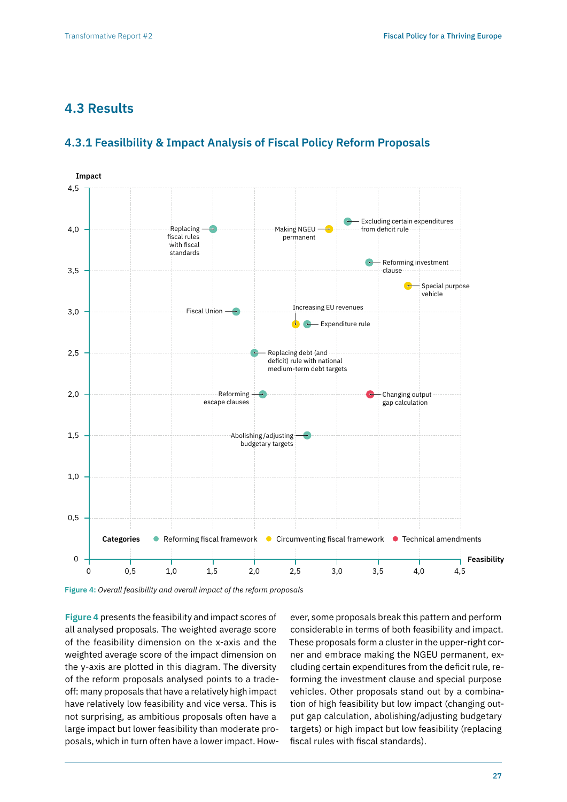## **4.3 Results**



## **4.3.1 Feasilbility & Impact Analysis of Fiscal Policy Reform Proposals**

**Figure 4:** *Overall feasibility and overall impact of the reform proposals*

**Figure 4** presents the feasibility and impact scores of all analysed proposals. The weighted average score of the feasibility dimension on the x-axis and the weighted average score of the impact dimension on the y-axis are plotted in this diagram. The diversity of the reform proposals analysed points to a tradeoff: many proposals that have a relatively high impact have relatively low feasibility and vice versa. This is not surprising, as ambitious proposals often have a large impact but lower feasibility than moderate proposals, which in turn often have a lower impact. How-

ever, some proposals break this pattern and perform considerable in terms of both feasibility and impact. These proposals form a cluster in the upper-right corner and embrace making the NGEU permanent, excluding certain expenditures from the deficit rule, reforming the investment clause and special purpose vehicles. Other proposals stand out by a combination of high feasibility but low impact (changing output gap calculation, abolishing/adjusting budgetary targets) or high impact but low feasibility (replacing fiscal rules with fiscal standards).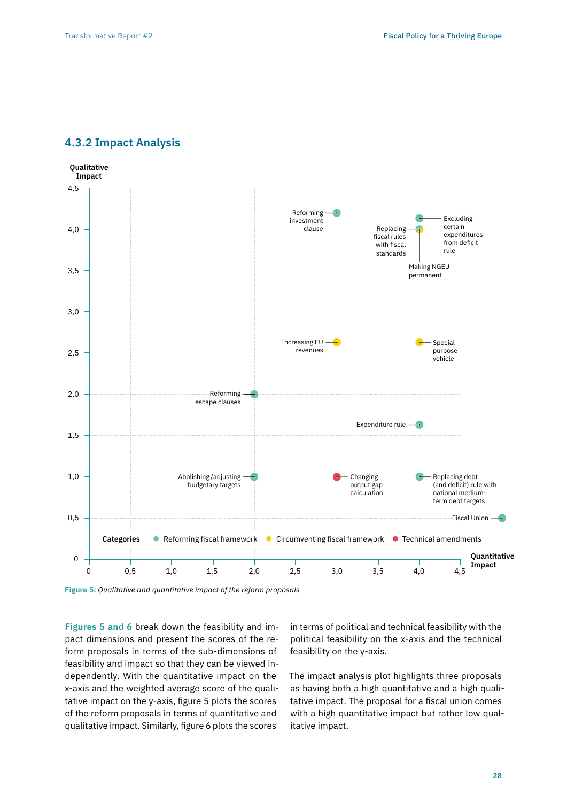## **4.3.2 Impact Analysis**



**Figure 5:** *Qualitative and quantitative impact of the reform proposals*

**Figures 5 and 6** break down the feasibility and impact dimensions and present the scores of the reform proposals in terms of the sub-dimensions of feasibility and impact so that they can be viewed independently. With the quantitative impact on the x-axis and the weighted average score of the qualitative impact on the y-axis, figure 5 plots the scores of the reform proposals in terms of quantitative and qualitative impact. Similarly, figure 6 plots the scores

in terms of political and technical feasibility with the political feasibility on the x-axis and the technical feasibility on the y-axis.

The impact analysis plot highlights three proposals as having both a high quantitative and a high qualitative impact. The proposal for a fiscal union comes with a high quantitative impact but rather low qualitative impact.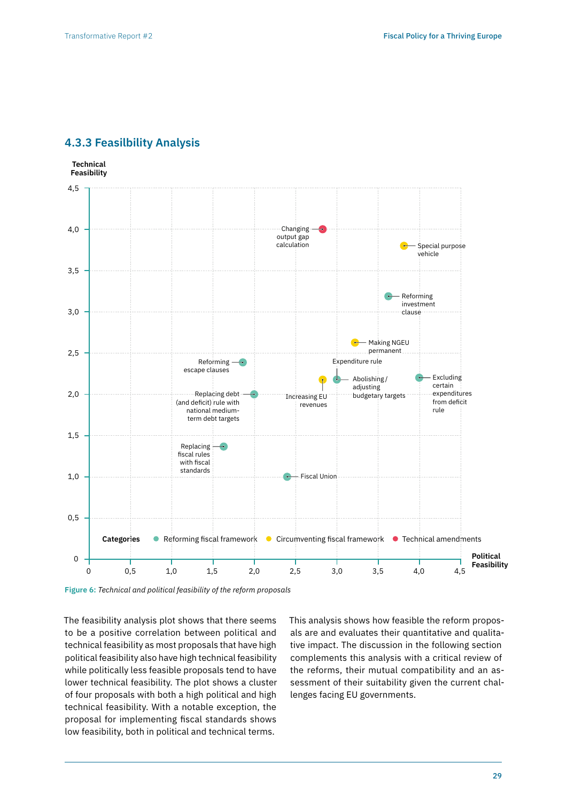## **4.3.3 Feasilbility Analysis**

**Technical Feasibility**



**Figure 6:** *Technical and political feasibility of the reform proposals*

The feasibility analysis plot shows that there seems to be a positive correlation between political and technical feasibility as most proposals that have high political feasibility also have high technical feasibility while politically less feasible proposals tend to have lower technical feasibility. The plot shows a cluster of four proposals with both a high political and high technical feasibility. With a notable exception, the proposal for implementing fiscal standards shows low feasibility, both in political and technical terms.

This analysis shows how feasible the reform proposals are and evaluates their quantitative and qualitative impact. The discussion in the following section complements this analysis with a critical review of the reforms, their mutual compatibility and an assessment of their suitability given the current challenges facing EU governments.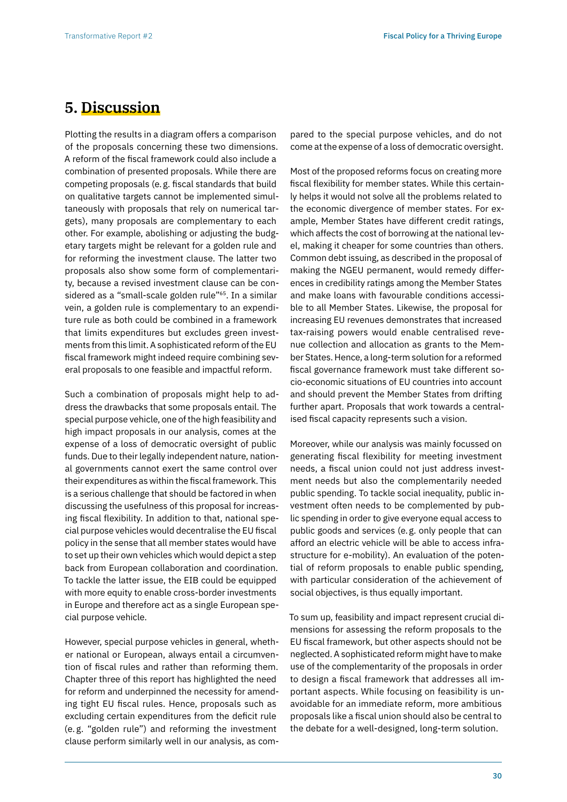# **5. Discussion**

Plotting the results in a diagram offers a comparison of the proposals concerning these two dimensions. A reform of the fiscal framework could also include a combination of presented proposals. While there are competing proposals (e.g. fiscal standards that build on qualitative targets cannot be implemented simultaneously with proposals that rely on numerical targets), many proposals are complementary to each other. For example, abolishing or adjusting the budgetary targets might be relevant for a golden rule and for reforming the investment clause. The latter two proposals also show some form of complementarity, because a revised investment clause can be considered as a "small-scale golden rule"<sup>65</sup>. In a similar vein, a golden rule is complementary to an expenditure rule as both could be combined in a framework that limits expenditures but excludes green investments from this limit. A sophisticated reform of the EU fiscal framework might indeed require combining several proposals to one feasible and impactful reform.

Such a combination of proposals might help to address the drawbacks that some proposals entail. The special purpose vehicle, one of the high feasibility and high impact proposals in our analysis, comes at the expense of a loss of democratic oversight of public funds. Due to their legally independent nature, national governments cannot exert the same control over their expenditures as within the fiscal framework. This is a serious challenge that should be factored in when discussing the usefulness of this proposal for increasing fiscal flexibility. In addition to that, national special purpose vehicles would decentralise the EU fiscal policy in the sense that all member states would have to set up their own vehicles which would depict a step back from European collaboration and coordination. To tackle the latter issue, the EIB could be equipped with more equity to enable cross-border investments in Europe and therefore act as a single European special purpose vehicle.

However, special purpose vehicles in general, whether national or European, always entail a circumvention of fiscal rules and rather than reforming them. Chapter three of this report has highlighted the need for reform and underpinned the necessity for amending tight EU fiscal rules. Hence, proposals such as excluding certain expenditures from the deficit rule (e. g. "golden rule") and reforming the investment clause perform similarly well in our analysis, as compared to the special purpose vehicles, and do not come at the expense of a loss of democratic oversight.

Most of the proposed reforms focus on creating more fiscal flexibility for member states. While this certainly helps it would not solve all the problems related to the economic divergence of member states. For example, Member States have different credit ratings, which affects the cost of borrowing at the national level, making it cheaper for some countries than others. Common debt issuing, as described in the proposal of making the NGEU permanent, would remedy differences in credibility ratings among the Member States and make loans with favourable conditions accessible to all Member States. Likewise, the proposal for increasing EU revenues demonstrates that increased tax-raising powers would enable centralised revenue collection and allocation as grants to the Member States. Hence, a long-term solution for a reformed fiscal governance framework must take different socio-economic situations of EU countries into account and should prevent the Member States from drifting further apart. Proposals that work towards a centralised fiscal capacity represents such a vision.

Moreover, while our analysis was mainly focussed on generating fiscal flexibility for meeting investment needs, a fiscal union could not just address investment needs but also the complementarily needed public spending. To tackle social inequality, public investment often needs to be complemented by public spending in order to give everyone equal access to public goods and services (e.g. only people that can afford an electric vehicle will be able to access infrastructure for e-mobility). An evaluation of the potential of reform proposals to enable public spending, with particular consideration of the achievement of social objectives, is thus equally important.

To sum up, feasibility and impact represent crucial dimensions for assessing the reform proposals to the EU fiscal framework, but other aspects should not be neglected. A sophisticated reform might have to make use of the complementarity of the proposals in order to design a fiscal framework that addresses all important aspects. While focusing on feasibility is unavoidable for an immediate reform, more ambitious proposals like a fiscal union should also be central to the debate for a well-designed, long-term solution.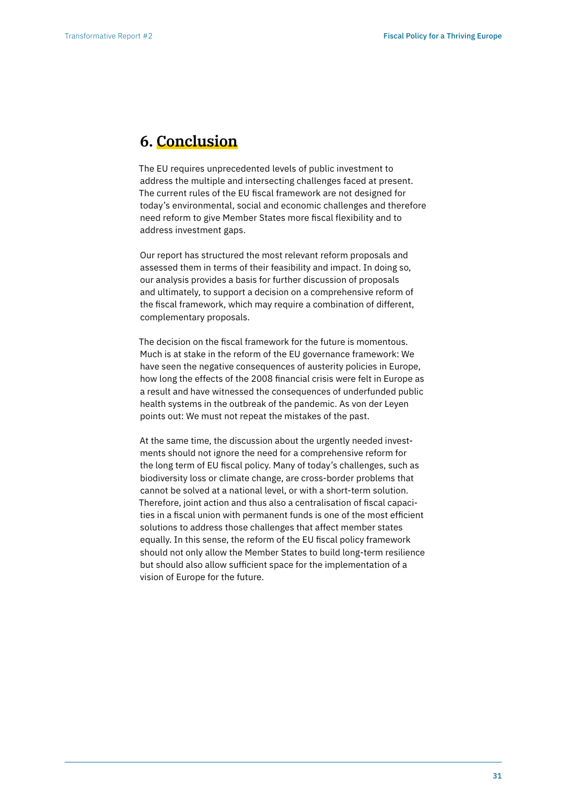# **6. Conclusion**

The EU requires unprecedented levels of public investment to address the multiple and intersecting challenges faced at present. The current rules of the EU fiscal framework are not designed for today's environmental, social and economic challenges and therefore need reform to give Member States more fiscal flexibility and to address investment gaps.

Our report has structured the most relevant reform proposals and assessed them in terms of their feasibility and impact. In doing so, our analysis provides a basis for further discussion of proposals and ultimately, to support a decision on a comprehensive reform of the fiscal framework, which may require a combination of different, complementary proposals.

The decision on the fiscal framework for the future is momentous. Much is at stake in the reform of the EU governance framework: We have seen the negative consequences of austerity policies in Europe, how long the effects of the 2008 financial crisis were felt in Europe as a result and have witnessed the consequences of underfunded public health systems in the outbreak of the pandemic. As von der Leyen points out: We must not repeat the mistakes of the past.

At the same time, the discussion about the urgently needed investments should not ignore the need for a comprehensive reform for the long term of EU fiscal policy. Many of today's challenges, such as biodiversity loss or climate change, are cross-border problems that cannot be solved at a national level, or with a short-term solution. Therefore, joint action and thus also a centralisation of fiscal capacities in a fiscal union with permanent funds is one of the most efficient solutions to address those challenges that affect member states equally. In this sense, the reform of the EU fiscal policy framework should not only allow the Member States to build long-term resilience but should also allow sufficient space for the implementation of a vision of Europe for the future.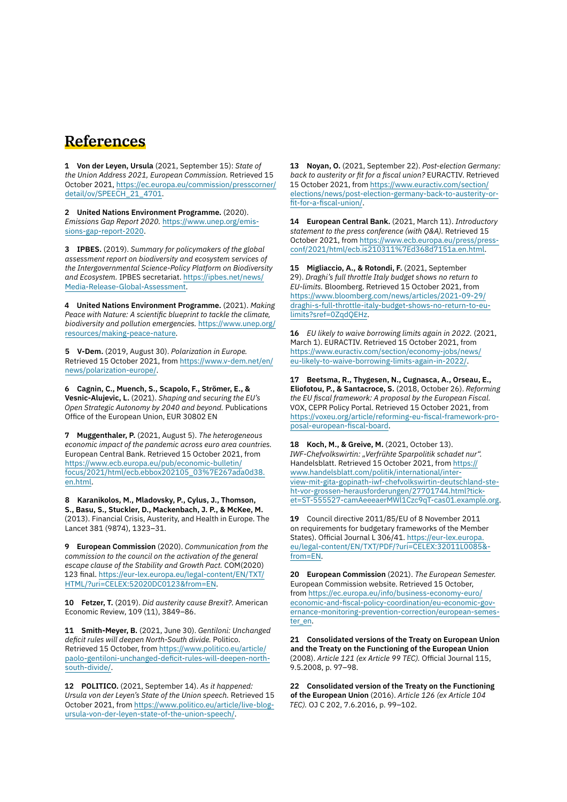## **References**

**1 Von der Leyen, Ursula** (2021, September 15): *State of the Union Address 2021, European Commission.* Retrieved 15 October 2021, [https://ec.europa.eu/commission/presscorner/](https://ec.europa.eu/commission/presscorner/detail/ov/SPEECH_21_4701) [detail/ov/SPEECH\\_21\\_4701](https://ec.europa.eu/commission/presscorner/detail/ov/SPEECH_21_4701).

**2 United Nations Environment Programme.** (2020). *Emissions Gap Report 2020.* [https://www.unep.org/emis](https://www.unep.org/emissions-gap-report-2020)[sions-gap-report-2020.](https://www.unep.org/emissions-gap-report-2020)

**3 IPBES.** (2019). *Summary for policymakers of the global assessment report on biodiversity and ecosystem services of the Intergovernmental Science-Policy Platform on Biodiversity and Ecosystem.* IPBES secretariat. [https://ipbes.net/news/](https://ipbes.net/news/Media-Release-Global-Assessment) [Media-Release-Global-Assessment](https://ipbes.net/news/Media-Release-Global-Assessment).

**4 United Nations Environment Programme.** (2021). *Making Peace with Nature: A scientific blueprint to tackle the climate, biodiversity and pollution emergencies.* [https://www.unep.org/](https://www.unep.org/resources/making-peace-nature) [resources/making-peace-nature](https://www.unep.org/resources/making-peace-nature).

**5 V-Dem.** (2019, August 30). *Polarization in Europe.* Retrieved 15 October 2021, from [https://www.v-dem.net/en/](https://www.v-dem.net/en/news/polarization-europe/) [news/polarization-europe/](https://www.v-dem.net/en/news/polarization-europe/).

**6 Cagnin, C., Muench, S., Scapolo, F., Strömer, E., & Vesnic-Alujevic, L.** (2021). *Shaping and securing the EU's Open Strategic Autonomy by 2040 and beyond.* Publications Office of the European Union, EUR 30802 EN

**7 Muggenthaler, P.** (2021, August 5). *The heterogeneous economic impact of the pandemic across euro area countries.* European Central Bank. Retrieved 15 October 2021, from [https://www.ecb.europa.eu/pub/economic-bulletin/](https://www.ecb.europa.eu/pub/economic-bulletin/focus/2021/html/ecb.ebbox202105_03%7E267ada0d38.en.html) [focus/2021/html/ecb.ebbox202105\\_03%7E267ada0d38.](https://www.ecb.europa.eu/pub/economic-bulletin/focus/2021/html/ecb.ebbox202105_03%7E267ada0d38.en.html) [en.html.](https://www.ecb.europa.eu/pub/economic-bulletin/focus/2021/html/ecb.ebbox202105_03%7E267ada0d38.en.html)

**8 Karanikolos, M., Mladovsky, P., Cylus, J., Thomson, S., Basu, S., Stuckler, D., Mackenbach, J. P., & McKee, M.**  (2013). Financial Crisis, Austerity, and Health in Europe. The Lancet 381 (9874), 1323–31.

**9 European Commission** (2020). *Communication from the commission to the council on the activation of the general escape clause of the Stability and Growth Pact.* COM(2020) 123 final. [https://eur-lex.europa.eu/legal-content/EN/TXT/](https://eur-lex.europa.eu/legal-content/EN/TXT/HTML/?uri=CELEX:52020DC0123&from=EN) [HTML/?uri=CELEX:52020DC0123&from=EN.](https://eur-lex.europa.eu/legal-content/EN/TXT/HTML/?uri=CELEX:52020DC0123&from=EN)

**10 Fetzer, T.** (2019). *Did austerity cause Brexit?*. American Economic Review, 109 (11), 3849–86.

**11 Smith-Meyer, B.** (2021, June 30). *Gentiloni: Unchanged deficit rules will deepen North-South divide.* Politico. Retrieved 15 October, from [https://www.politico.eu/article/](https://www.politico.eu/article/paolo-gentiloni-unchanged-deficit-rules-will-deepen-north-south-divide/) [paolo-gentiloni-unchanged-deficit-rules-will-deepen-north](https://www.politico.eu/article/paolo-gentiloni-unchanged-deficit-rules-will-deepen-north-south-divide/)[south-divide/](https://www.politico.eu/article/paolo-gentiloni-unchanged-deficit-rules-will-deepen-north-south-divide/).

**12 POLITICO.** (2021, September 14). *As it happened: Ursula von der Leyen's State of the Union speech.* Retrieved 15 October 2021, from [https://www.politico.eu/article/live-blog](https://www.politico.eu/article/live-blog-ursula-von-der-leyen-state-of-the-union-speech/)[ursula-von-der-leyen-state-of-the-union-speech/](https://www.politico.eu/article/live-blog-ursula-von-der-leyen-state-of-the-union-speech/).

**13 Noyan, O.** (2021, September 22). *Post-election Germany: back to austerity or fit for a fiscal union?* EURACTIV. Retrieved 15 October 2021, from [https://www.euractiv.com/section/](https://www.euractiv.com/section/elections/news/post-election-germany-back-to-austerity-or-fit-for-a-fiscal-union/) [elections/news/post-election-germany-back-to-austerity-or](https://www.euractiv.com/section/elections/news/post-election-germany-back-to-austerity-or-fit-for-a-fiscal-union/)[fit-for-a-fiscal-union/.](https://www.euractiv.com/section/elections/news/post-election-germany-back-to-austerity-or-fit-for-a-fiscal-union/)

**14 European Central Bank.** (2021, March 11). *Introductory statement to the press conference (with Q&A).* Retrieved 15 October 2021, from [https://www.ecb.europa.eu/press/press](https://www.ecb.europa.eu/press/pressconf/2021/html/ecb.is210311%7Ed368d7151a.en.html)[conf/2021/html/ecb.is210311%7Ed368d7151a.en.html.](https://www.ecb.europa.eu/press/pressconf/2021/html/ecb.is210311%7Ed368d7151a.en.html)

**15 Migliaccio, A., & Rotondi, F.** (2021, September 29). *Draghi's full throttle Italy budget shows no return to EU-limits.* Bloomberg. Retrieved 15 October 2021, from [https://www.bloomberg.com/news/articles/2021-09-29/](https://www.bloomberg.com/news/articles/2021-09-29/draghi-s-full-throttle-italy-budget-shows-no-return-to-eu-limits?sref=0ZqdQEHz) [draghi-s-full-throttle-italy-budget-shows-no-return-to-eu](https://www.bloomberg.com/news/articles/2021-09-29/draghi-s-full-throttle-italy-budget-shows-no-return-to-eu-limits?sref=0ZqdQEHz)[limits?sref=0ZqdQEHz.](https://www.bloomberg.com/news/articles/2021-09-29/draghi-s-full-throttle-italy-budget-shows-no-return-to-eu-limits?sref=0ZqdQEHz)

**16** *EU likely to waive borrowing limits again in 2022.* (2021, March 1). EURACTIV. Retrieved 15 October 2021, from [https://www.euractiv.com/section/economy-jobs/news/](https://www.euractiv.com/section/economy-jobs/news/eu-likely-to-waive-borrowing-limits-again-in-2022/) [eu-likely-to-waive-borrowing-limits-again-in-2022/](https://www.euractiv.com/section/economy-jobs/news/eu-likely-to-waive-borrowing-limits-again-in-2022/).

**17 Beetsma, R., Thygesen, N., Cugnasca, A., Orseau, E., Eliofotou, P., & Santacroce, S.** (2018, October 26). *Reforming the EU fiscal framework: A proposal by the European Fiscal.*  VOX, CEPR Policy Portal. Retrieved 15 October 2021, from [https://voxeu.org/article/reforming-eu-fiscal-framework-pro](https://voxeu.org/article/reforming-eu-fiscal-framework-proposal-european-fiscal-board)[posal-european-fiscal-board.](https://voxeu.org/article/reforming-eu-fiscal-framework-proposal-european-fiscal-board)

**18 Koch, M., & Greive, M.** (2021, October 13). *IWF-Chefvolkswirtin: "Verfrühte Sparpolitik schadet nur".*  Handelsblatt. Retrieved 15 October 2021, from [https://](https://www.handelsblatt.com/politik/international/interview-mit-gita-gopinath-iwf-chefvolkswirtin-deutschland-steht-vor-grossen-herausforderungen/27701744.html?ticket=ST-555527-camAeeeaerMWl1Czc9qT-cas01.example.org) [www.handelsblatt.com/politik/international/inter](https://www.handelsblatt.com/politik/international/interview-mit-gita-gopinath-iwf-chefvolkswirtin-deutschland-steht-vor-grossen-herausforderungen/27701744.html?ticket=ST-555527-camAeeeaerMWl1Czc9qT-cas01.example.org)[view-mit-gita-gopinath-iwf-chefvolkswirtin-deutschland-ste](https://www.handelsblatt.com/politik/international/interview-mit-gita-gopinath-iwf-chefvolkswirtin-deutschland-steht-vor-grossen-herausforderungen/27701744.html?ticket=ST-555527-camAeeeaerMWl1Czc9qT-cas01.example.org)[ht-vor-grossen-herausforderungen/27701744.html?tick](https://www.handelsblatt.com/politik/international/interview-mit-gita-gopinath-iwf-chefvolkswirtin-deutschland-steht-vor-grossen-herausforderungen/27701744.html?ticket=ST-555527-camAeeeaerMWl1Czc9qT-cas01.example.org)[et=ST-555527-camAeeeaerMWl1Czc9qT-cas01.example.org](https://www.handelsblatt.com/politik/international/interview-mit-gita-gopinath-iwf-chefvolkswirtin-deutschland-steht-vor-grossen-herausforderungen/27701744.html?ticket=ST-555527-camAeeeaerMWl1Czc9qT-cas01.example.org).

**19** Council directive 2011/85/EU of 8 November 2011 on requirements for budgetary frameworks of the Member States). Official Journal L 306/41. [https://eur-lex.europa.](https://eur-lex.europa.eu/legal-content/EN/TXT/PDF/?uri=CELEX:32011L0085&from=EN) [eu/legal-content/EN/TXT/PDF/?uri=CELEX:32011L0085&](https://eur-lex.europa.eu/legal-content/EN/TXT/PDF/?uri=CELEX:32011L0085&from=EN) [from=EN](https://eur-lex.europa.eu/legal-content/EN/TXT/PDF/?uri=CELEX:32011L0085&from=EN).

**20 European Commission** (2021). *The European Semester.* European Commission website. Retrieved 15 October, from [https://ec.europa.eu/info/business-economy-euro/](https://ec.europa.eu/info/business-economy-euro/economic-and-fiscal-policy-coordination/eu-economic-governance-monitoring-prevention-correction/european-semester_en) [economic-and-fiscal-policy-coordination/eu-economic-gov](https://ec.europa.eu/info/business-economy-euro/economic-and-fiscal-policy-coordination/eu-economic-governance-monitoring-prevention-correction/european-semester_en)[ernance-monitoring-prevention-correction/european-semes](https://ec.europa.eu/info/business-economy-euro/economic-and-fiscal-policy-coordination/eu-economic-governance-monitoring-prevention-correction/european-semester_en)[ter\\_en](https://ec.europa.eu/info/business-economy-euro/economic-and-fiscal-policy-coordination/eu-economic-governance-monitoring-prevention-correction/european-semester_en).

**21 Consolidated versions of the Treaty on European Union and the Treaty on the Functioning of the European Union**  (2008). *Article 121 (ex Article 99 TEC).* Official Journal 115, 9.5.2008, p. 97–98.

**22 Consolidated version of the Treaty on the Functioning of the European Union** (2016). *Article 126 (ex Article 104 TEC).* OJ C 202, 7.6.2016, p. 99–102.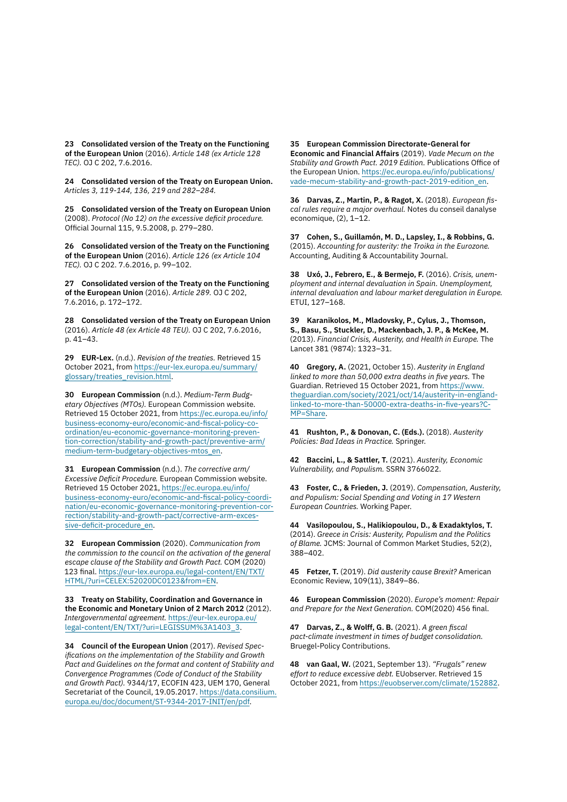**23 Consolidated version of the Treaty on the Functioning of the European Union** (2016). *Article 148 (ex Article 128 TEC).* OJ C 202, 7.6.2016.

**24 Consolidated version of the Treaty on European Union.**  *Articles 3, 119-144, 136, 219 and 282–284.*

**25 Consolidated version of the Treaty on European Union** (2008). *Protocol (No 12) on the excessive deficit procedure.* Official Journal 115, 9.5.2008, p. 279–280.

**26 Consolidated version of the Treaty on the Functioning of the European Union** (2016). *Article 126 (ex Article 104 TEC).* OJ C 202. 7.6.2016, p. 99–102.

**27 Consolidated version of the Treaty on the Functioning of the European Union** (2016). *Article 289.* OJ C 202, 7.6.2016, p. 172–172.

**28 Consolidated version of the Treaty on European Union** (2016). *Article 48 (ex Article 48 TEU).* OJ C 202, 7.6.2016, p. 41–43.

**29 EUR-Lex.** (n.d.). *Revision of the treaties.* Retrieved 15 October 2021, from [https://eur-lex.europa.eu/summary/](https://eur-lex.europa.eu/summary/glossary/treaties_revision.html) [glossary/treaties\\_revision.html.](https://eur-lex.europa.eu/summary/glossary/treaties_revision.html)

**30 European Commission** (n.d.). *Medium-Term Budgetary Objectives (MTOs).* European Commission website. Retrieved 15 October 2021, from [https://ec.europa.eu/info/](https://ec.europa.eu/info/business-economy-euro/economic-and-fiscal-policy-coordination/eu-economic-governance-monitoring-prevention-correction/stability-and-growth-pact/preventive-arm/medium-term-budgetary-objectives-mtos_en) [business-economy-euro/economic-and-fiscal-policy-co](https://ec.europa.eu/info/business-economy-euro/economic-and-fiscal-policy-coordination/eu-economic-governance-monitoring-prevention-correction/stability-and-growth-pact/preventive-arm/medium-term-budgetary-objectives-mtos_en)[ordination/eu-economic-governance-monitoring-preven](https://ec.europa.eu/info/business-economy-euro/economic-and-fiscal-policy-coordination/eu-economic-governance-monitoring-prevention-correction/stability-and-growth-pact/preventive-arm/medium-term-budgetary-objectives-mtos_en)[tion-correction/stability-and-growth-pact/preventive-arm/](https://ec.europa.eu/info/business-economy-euro/economic-and-fiscal-policy-coordination/eu-economic-governance-monitoring-prevention-correction/stability-and-growth-pact/preventive-arm/medium-term-budgetary-objectives-mtos_en) [medium-term-budgetary-objectives-mtos\\_en.](https://ec.europa.eu/info/business-economy-euro/economic-and-fiscal-policy-coordination/eu-economic-governance-monitoring-prevention-correction/stability-and-growth-pact/preventive-arm/medium-term-budgetary-objectives-mtos_en)

**31 European Commission** (n.d.). *The corrective arm/ Excessive Deficit Procedure.* European Commission website. Retrieved 15 October 2021, [https://ec.europa.eu/info/](https://ec.europa.eu/info/business-economy-euro/economic-and-fiscal-policy-coordination/eu-economic-governance-monitoring-prevention-correction/stability-and-growth-pact/corrective-arm-excessive-deficit-procedure_en) [business-economy-euro/economic-and-fiscal-policy-coordi](https://ec.europa.eu/info/business-economy-euro/economic-and-fiscal-policy-coordination/eu-economic-governance-monitoring-prevention-correction/stability-and-growth-pact/corrective-arm-excessive-deficit-procedure_en)[nation/eu-economic-governance-monitoring-prevention-cor](https://ec.europa.eu/info/business-economy-euro/economic-and-fiscal-policy-coordination/eu-economic-governance-monitoring-prevention-correction/stability-and-growth-pact/corrective-arm-excessive-deficit-procedure_en)[rection/stability-and-growth-pact/corrective-arm-exces](https://ec.europa.eu/info/business-economy-euro/economic-and-fiscal-policy-coordination/eu-economic-governance-monitoring-prevention-correction/stability-and-growth-pact/corrective-arm-excessive-deficit-procedure_en)[sive-deficit-procedure\\_en.](https://ec.europa.eu/info/business-economy-euro/economic-and-fiscal-policy-coordination/eu-economic-governance-monitoring-prevention-correction/stability-and-growth-pact/corrective-arm-excessive-deficit-procedure_en)

**32 European Commission** (2020). *Communication from the commission to the council on the activation of the general escape clause of the Stability and Growth Pact.* COM (2020) 123 final. [https://eur-lex.europa.eu/legal-content/EN/TXT/](https://eur-lex.europa.eu/legal-content/EN/TXT/HTML/?uri=CELEX:52020DC0123&from=EN) [HTML/?uri=CELEX:52020DC0123&from=EN.](https://eur-lex.europa.eu/legal-content/EN/TXT/HTML/?uri=CELEX:52020DC0123&from=EN)

**33 Treaty on Stability, Coordination and Governance in the Economic and Monetary Union of 2 March 2012** (2012). *Intergovernmental agreement.* [https://eur-lex.europa.eu/](https://eur-lex.europa.eu/legal-content/EN/TXT/?uri=LEGISSUM%3A1403_3) [legal-content/EN/TXT/?uri=LEGISSUM%3A1403\\_3.](https://eur-lex.europa.eu/legal-content/EN/TXT/?uri=LEGISSUM%3A1403_3)

**34 Council of the European Union** (2017). *Revised Specifications on the implementation of the Stability and Growth Pact and Guidelines on the format and content of Stability and Convergence Programmes (Code of Conduct of the Stability and Growth Pact).* 9344/17, ECOFIN 423, UEM 170, General Secretariat of the Council, 19.05.2017. [https://data.consilium.](https://data.consilium.europa.eu/doc/document/ST-9344-2017-INIT/en/pdf) [europa.eu/doc/document/ST-9344-2017-INIT/en/pdf](https://data.consilium.europa.eu/doc/document/ST-9344-2017-INIT/en/pdf).

**35 European Commission Directorate-General for Economic and Financial Affairs** (2019). *Vade Mecum on the Stability and Growth Pact. 2019 Edition.* Publications Office of the European Union. [https://ec.europa.eu/info/publications/](https://ec.europa.eu/info/publications/vade-mecum-stability-and-growth-pact-2019-edition_en) [vade-mecum-stability-and-growth-pact-2019-edition\\_en](https://ec.europa.eu/info/publications/vade-mecum-stability-and-growth-pact-2019-edition_en).

**36 Darvas, Z., Martin, P., & Ragot, X.** (2018). *European fiscal rules require a major overhaul.* Notes du conseil danalyse economique, (2), 1–12.

**37 Cohen, S., Guillamón, M. D., Lapsley, I., & Robbins, G.**  (2015). *Accounting for austerity: the Troika in the Eurozone.*  Accounting, Auditing & Accountability Journal.

**38 Uxó, J., Febrero, E., & Bermejo, F.** (2016). *Crisis, unemployment and internal devaluation in Spain. Unemployment, internal devaluation and labour market deregulation in Europe.* ETUI, 127–168.

**39 Karanikolos, M., Mladovsky, P., Cylus, J., Thomson, S., Basu, S., Stuckler, D., Mackenbach, J. P., & McKee, M.**  (2013). *Financial Crisis, Austerity, and Health in Europe.* The Lancet 381 (9874): 1323–31.

**40 Gregory, A.** (2021, October 15). *Austerity in England linked to more than 50,000 extra deaths in five years.* The Guardian. Retrieved 15 October 2021, from [https://www.](https://www.theguardian.com/society/2021/oct/14/austerity-in-england-linked-to-more-than-50000-extra-deaths-in-five-years?CMP=Share) [theguardian.com/society/2021/oct/14/austerity-in-england](https://www.theguardian.com/society/2021/oct/14/austerity-in-england-linked-to-more-than-50000-extra-deaths-in-five-years?CMP=Share)[linked-to-more-than-50000-extra-deaths-in-five-years?C-](https://www.theguardian.com/society/2021/oct/14/austerity-in-england-linked-to-more-than-50000-extra-deaths-in-five-years?CMP=Share)[MP=Share.](https://www.theguardian.com/society/2021/oct/14/austerity-in-england-linked-to-more-than-50000-extra-deaths-in-five-years?CMP=Share)

**41 Rushton, P., & Donovan, C. (Eds.).** (2018). *Austerity Policies: Bad Ideas in Practice.* Springer.

**42 Baccini, L., & Sattler, T.** (2021). *Austerity, Economic Vulnerability, and Populism.* SSRN 3766022.

**43 Foster, C., & Frieden, J.** (2019). *Compensation, Austerity, and Populism: Social Spending and Voting in 17 Western European Countries.* Working Paper.

**44 Vasilopoulou, S., Halikiopoulou, D., & Exadaktylos, T.** (2014). *Greece in Crisis: Austerity, Populism and the Politics of Blame.* JCMS: Journal of Common Market Studies, 52(2), 388–402.

**45 Fetzer, T.** (2019). *Did austerity cause Brexit?* American Economic Review, 109(11), 3849–86.

**46 European Commission** (2020). *Europe's moment: Repair and Prepare for the Next Generation.* COM(2020) 456 final.

**47 Darvas, Z., & Wolff, G. B.** (2021). *A green fiscal pact-climate investment in times of budget consolidation.* Bruegel-Policy Contributions.

**48 van Gaal, W.** (2021, September 13). *"Frugals" renew effort to reduce excessive debt.* EUobserver. Retrieved 15 October 2021, from [https://euobserver.com/climate/152882.](https://euobserver.com/climate/152882)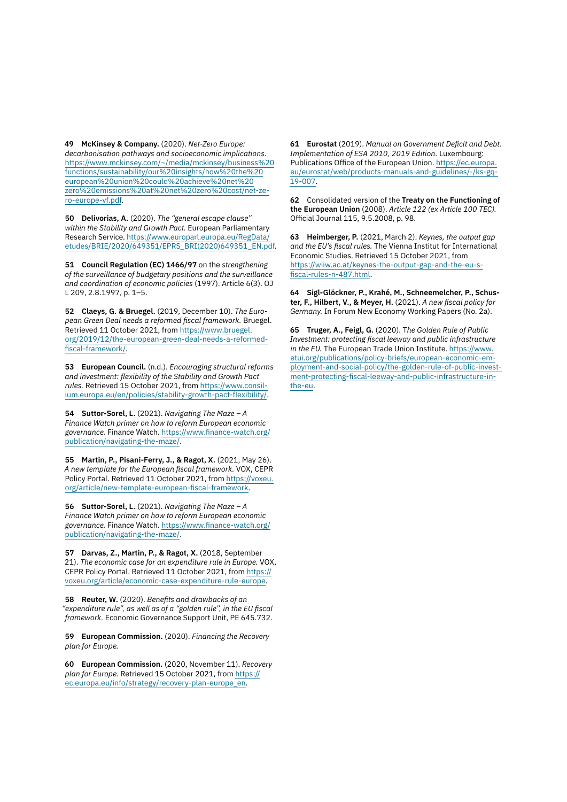**49 McKinsey & Company.** (2020). *Net-Zero Europe: decarbonisation pathways and socioeconomic implications.* [https://www.mckinsey.com/~/media/mckinsey/business%20](https://www.mckinsey.com/~/media/mckinsey/business%20functions/sustainability/our%20insights/how%20the%20european%20union%20could%20achieve%20net%20zero%20emissions%20at%20net%20zero%20cost/net-zero-europe-vf.pdf) [functions/sustainability/our%20insights/how%20the%20](https://www.mckinsey.com/~/media/mckinsey/business%20functions/sustainability/our%20insights/how%20the%20european%20union%20could%20achieve%20net%20zero%20emissions%20at%20net%20zero%20cost/net-zero-europe-vf.pdf) [european%20union%20could%20achieve%20net%20](https://www.mckinsey.com/~/media/mckinsey/business%20functions/sustainability/our%20insights/how%20the%20european%20union%20could%20achieve%20net%20zero%20emissions%20at%20net%20zero%20cost/net-zero-europe-vf.pdf) [zero%20emissions%20at%20net%20zero%20cost/net-ze](https://www.mckinsey.com/~/media/mckinsey/business%20functions/sustainability/our%20insights/how%20the%20european%20union%20could%20achieve%20net%20zero%20emissions%20at%20net%20zero%20cost/net-zero-europe-vf.pdf)[ro-europe-vf.pdf.](https://www.mckinsey.com/~/media/mckinsey/business%20functions/sustainability/our%20insights/how%20the%20european%20union%20could%20achieve%20net%20zero%20emissions%20at%20net%20zero%20cost/net-zero-europe-vf.pdf)

**50 Delivorias, A.** (2020). *The "general escape clause" within the Stability and Growth Pact.* European Parliamentary Research Service. [https://www.europarl.europa.eu/RegData/](https://www.europarl.europa.eu/RegData/etudes/BRIE/2020/649351/EPRS_BRI(2020)649351_EN.pdf) [etudes/BRIE/2020/649351/EPRS\\_BRI\(2020\)649351\\_EN.pdf](https://www.europarl.europa.eu/RegData/etudes/BRIE/2020/649351/EPRS_BRI(2020)649351_EN.pdf).

**51 Council Regulation (EC) 1466/97** on the *strengthening of the surveillance of budgetary positions and the surveillance and coordination of economic policies* (1997). Article 6(3). OJ L 209, 2.8.1997, p. 1–5.

**52 Claeys, G. & Bruegel.** (2019, December 10). *The European Green Deal needs a reformed fiscal framework.* Bruegel. Retrieved 11 October 2021, from [https://www.bruegel.](https://www.bruegel.org/2019/12/the-european-green-deal-needs-a-reformed-fiscal-framework/) [org/2019/12/the-european-green-deal-needs-a-reformed](https://www.bruegel.org/2019/12/the-european-green-deal-needs-a-reformed-fiscal-framework/)[fiscal-framework/](https://www.bruegel.org/2019/12/the-european-green-deal-needs-a-reformed-fiscal-framework/).

**53 European Council.** (n.d.). *Encouraging structural reforms and investment: flexibility of the Stability and Growth Pact rules.* Retrieved 15 October 2021, from [https://www.consil](https://www.consilium.europa.eu/en/policies/stability-growth-pact-flexibility/)[ium.europa.eu/en/policies/stability-growth-pact-flexibility/](https://www.consilium.europa.eu/en/policies/stability-growth-pact-flexibility/).

**54 Suttor-Sorel, L.** (2021). *Navigating The Maze – A Finance Watch primer on how to reform European economic governance.* Finance Watch. [https://www.finance-watch.org/](https://www.finance-watch.org/publication/navigating-the-maze/) [publication/navigating-the-maze/.](https://www.finance-watch.org/publication/navigating-the-maze/)

**55 Martin, P., Pisani-Ferry, J., & Ragot, X.** (2021, May 26). *A new template for the European fiscal framework.* VOX, CEPR Policy Portal. Retrieved 11 October 2021, from [https://voxeu.](https://voxeu.org/article/new-template-european-fiscal-framework) [org/article/new-template-european-fiscal-framework.](https://voxeu.org/article/new-template-european-fiscal-framework)

**56 Suttor-Sorel, L.** (2021). *Navigating The Maze – A Finance Watch primer on how to reform European economic governance.* Finance Watch. [https://www.finance-watch.org/](https://www.finance-watch.org/publication/navigating-the-maze/) [publication/navigating-the-maze/.](https://www.finance-watch.org/publication/navigating-the-maze/)

**57 Darvas, Z., Martin, P., & Ragot, X.** (2018, September 21). *The economic case for an expenditure rule in Europe.* VOX, CEPR Policy Portal. Retrieved 11 October 2021, from [https://](https://voxeu.org/article/economic-case-expenditure-rule-europe) [voxeu.org/article/economic-case-expenditure-rule-europe.](https://voxeu.org/article/economic-case-expenditure-rule-europe)

**58 Reuter, W.** (2020). *Benefits and drawbacks of an "expenditure rule", as well as of a "golden rule", in the EU fiscal framework.* Economic Governance Support Unit, PE 645.732.

**59 European Commission.** (2020). *Financing the Recovery plan for Europe.*

**60 European Commission.** (2020, November 11). *Recovery plan for Europe.* Retrieved 15 October 2021, from [https://](https://ec.europa.eu/info/strategy/recovery-plan-europe_en) [ec.europa.eu/info/strategy/recovery-plan-europe\\_en](https://ec.europa.eu/info/strategy/recovery-plan-europe_en).

**61 Eurostat** (2019). *Manual on Government Deficit and Debt. Implementation of ESA 2010, 2019 Edition.* Luxembourg: Publications Office of the European Union. [https://ec.europa.](https://ec.europa.eu/eurostat/web/products-manuals-and-guidelines/-/ks-gq-19-007) [eu/eurostat/web/products-manuals-and-guidelines/-/ks-gq-](https://ec.europa.eu/eurostat/web/products-manuals-and-guidelines/-/ks-gq-19-007)[19-007.](https://ec.europa.eu/eurostat/web/products-manuals-and-guidelines/-/ks-gq-19-007)

**62** Consolidated version of the **Treaty on the Functioning of the European Union** (2008). *Article 122 (ex Article 100 TEC).* Official Journal 115, 9.5.2008, p. 98.

**63 Heimberger, P.** (2021, March 2). *Keynes, the output gap and the EU's fiscal rules.* The Vienna Institut for International Economic Studies. Retrieved 15 October 2021, from [https://wiiw.ac.at/keynes-the-output-gap-and-the-eu-s](https://wiiw.ac.at/keynes-the-output-gap-and-the-eu-s-fiscal-rules-n-487.html)[fiscal-rules-n-487.html.](https://wiiw.ac.at/keynes-the-output-gap-and-the-eu-s-fiscal-rules-n-487.html)

**64 Sigl-Glöckner, P., Krahé, M., Schneemelcher, P., Schuster, F., Hilbert, V., & Meyer, H.** (2021). *A new fiscal policy for Germany.* In Forum New Economy Working Papers (No. 2a).

**65 Truger, A., Feigl, G.** (2020). T*he Golden Rule of Public Investment: protecting fiscal leeway and public infrastructure in the EU.* The European Trade Union Institute. [https://www.](https://www.etui.org/publications/policy-briefs/european-economic-employment-and-social-policy/the-golden-rule-of-public-investment-protecting-fiscal-leeway-and-public-infrastructure-in-the-eu) [etui.org/publications/policy-briefs/european-economic-em](https://www.etui.org/publications/policy-briefs/european-economic-employment-and-social-policy/the-golden-rule-of-public-investment-protecting-fiscal-leeway-and-public-infrastructure-in-the-eu)[ployment-and-social-policy/the-golden-rule-of-public-invest](https://www.etui.org/publications/policy-briefs/european-economic-employment-and-social-policy/the-golden-rule-of-public-investment-protecting-fiscal-leeway-and-public-infrastructure-in-the-eu)[ment-protecting-fiscal-leeway-and-public-infrastructure-in](https://www.etui.org/publications/policy-briefs/european-economic-employment-and-social-policy/the-golden-rule-of-public-investment-protecting-fiscal-leeway-and-public-infrastructure-in-the-eu)[the-eu.](https://www.etui.org/publications/policy-briefs/european-economic-employment-and-social-policy/the-golden-rule-of-public-investment-protecting-fiscal-leeway-and-public-infrastructure-in-the-eu)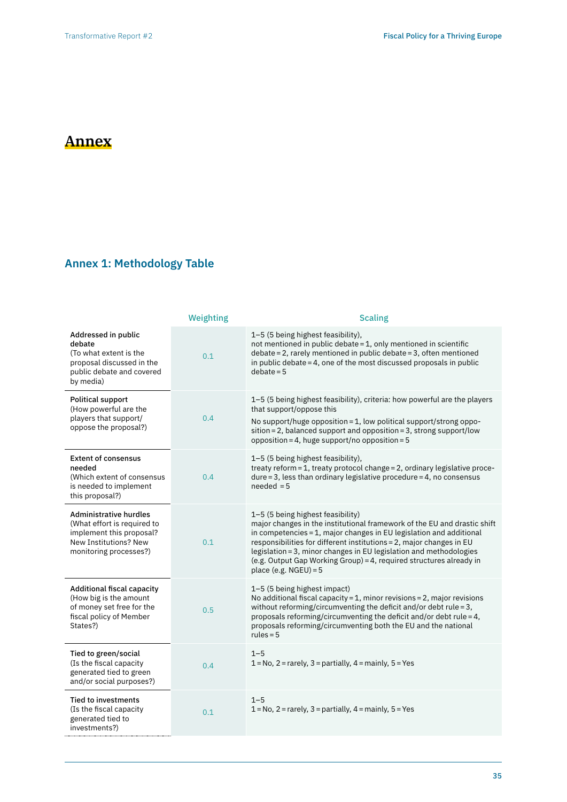# **Annex**

## **Annex 1: Methodology Table**

|                                                                                                                                             | Weighting | <b>Scaling</b>                                                                                                                                                                                                                                                                                                                                                                                                                        |
|---------------------------------------------------------------------------------------------------------------------------------------------|-----------|---------------------------------------------------------------------------------------------------------------------------------------------------------------------------------------------------------------------------------------------------------------------------------------------------------------------------------------------------------------------------------------------------------------------------------------|
| Addressed in public<br>debate<br>(To what extent is the<br>proposal discussed in the<br>public debate and covered<br>by media)              | 0.1       | 1-5 (5 being highest feasibility),<br>not mentioned in public debate = 1, only mentioned in scientific<br>debate = 2, rarely mentioned in public debate = 3, often mentioned<br>in public debate = $4$ , one of the most discussed proposals in public<br>$debate = 5$                                                                                                                                                                |
| <b>Political support</b><br>(How powerful are the<br>players that support/<br>oppose the proposal?)                                         | 0.4       | 1-5 (5 being highest feasibility), criteria: how powerful are the players<br>that support/oppose this<br>No support/huge opposition = 1, low political support/strong oppo-<br>sition = 2, balanced support and opposition = 3, strong support/low<br>opposition = 4, huge support/no opposition = $5$                                                                                                                                |
| <b>Extent of consensus</b><br>needed<br>(Which extent of consensus<br>is needed to implement<br>this proposal?)                             | 0.4       | 1-5 (5 being highest feasibility),<br>treaty reform = 1, treaty protocol change = 2, ordinary legislative proce-<br>$dure = 3$ , less than ordinary legislative procedure = 4, no consensus<br>$needed = 5$                                                                                                                                                                                                                           |
| <b>Administrative hurdles</b><br>(What effort is required to<br>implement this proposal?<br>New Institutions? New<br>monitoring processes?) | 0.1       | 1-5 (5 being highest feasibility)<br>major changes in the institutional framework of the EU and drastic shift<br>in competencies = 1, major changes in EU legislation and additional<br>responsibilities for different institutions = 2, major changes in EU<br>legislation = 3, minor changes in EU legislation and methodologies<br>(e.g. Output Gap Working Group) = 4, required structures already in<br>place (e.g. $NGEU$ ) = 5 |
| Additional fiscal capacity<br>(How big is the amount<br>of money set free for the<br>fiscal policy of Member<br>States?)                    | 0.5       | 1-5 (5 being highest impact)<br>No additional fiscal capacity = $1$ , minor revisions = $2$ , major revisions<br>without reforming/circumventing the deficit and/or debt rule = 3,<br>proposals reforming/circumventing the deficit and/or debt rule = $4$ ,<br>proposals reforming/circumventing both the EU and the national<br>rules = $5$                                                                                         |
| Tied to green/social<br>(Is the fiscal capacity<br>generated tied to green<br>and/or social purposes?)                                      | 0.4       | $1 - 5$<br>$1 = No$ , $2 = rarely$ , $3 = partially$ , $4 = mainly$ , $5 = Yes$                                                                                                                                                                                                                                                                                                                                                       |
| <b>Tied to investments</b><br>(Is the fiscal capacity<br>generated tied to<br>investments?)                                                 | 0.1       | $1 - 5$<br>$1 = No$ , $2 = rarely$ , $3 = partially$ , $4 = mainly$ , $5 = Yes$                                                                                                                                                                                                                                                                                                                                                       |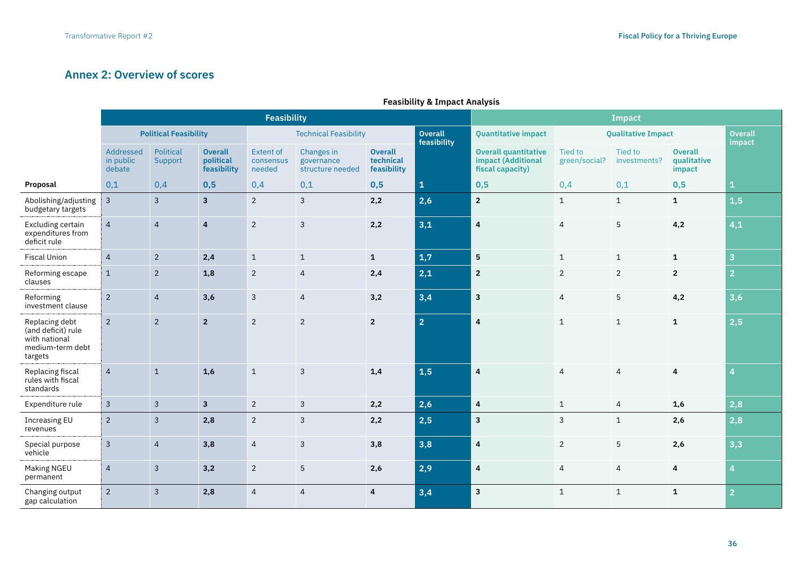## **Annex 2: Overview of scores**

|                                                                                      |                                  |                      |                                            | <b>Feasibility</b>                      |                                              | <b>Impact</b>                              |                        |                                                                       |                           |                         |                                         |                          |
|--------------------------------------------------------------------------------------|----------------------------------|----------------------|--------------------------------------------|-----------------------------------------|----------------------------------------------|--------------------------------------------|------------------------|-----------------------------------------------------------------------|---------------------------|-------------------------|-----------------------------------------|--------------------------|
|                                                                                      | <b>Political Feasibility</b>     |                      |                                            | <b>Technical Feasibility</b>            |                                              |                                            | Overall<br>feasibility | <b>Quantitative impact</b>                                            | <b>Qualitative Impact</b> |                         |                                         | <b>Overall</b><br>impact |
|                                                                                      | Addressed<br>in public<br>debate | Political<br>Support | <b>Overall</b><br>political<br>feasibility | <b>Extent of</b><br>consensus<br>needed | Changes in<br>governance<br>structure needed | <b>Overall</b><br>technical<br>feasibility |                        | <b>Overall quantitative</b><br>impact (Additional<br>fiscal capacity) | Tied to<br>green/social?  | Tied to<br>investments? | <b>Overall</b><br>qualitative<br>impact |                          |
| Proposal                                                                             | 0,1                              | 0,4                  | 0,5                                        | 0,4                                     | 0,1                                          | 0,5                                        | $\mathbf{1}$           | 0,5                                                                   | 0,4                       | 0,1                     | 0,5                                     | 1                        |
| Abolishing/adjusting<br>budgetary targets                                            | $\mathsf{3}$                     | $\overline{3}$       | $\mathbf{3}$                               | $\overline{2}$                          | $\mathbf{3}$                                 | 2,2                                        | 2,6                    | $\overline{2}$                                                        | $\mathbf{1}$              | $\mathbf{1}$            | $\mathbf{1}$                            | 1,5                      |
| Excluding certain<br>expenditures from<br>deficit rule                               | $\overline{4}$                   | $\overline{4}$       | $\overline{4}$                             | $\overline{2}$                          | 3                                            | 2,2                                        | 3,1                    | $\boldsymbol{4}$                                                      | $\overline{4}$            | 5                       | 4,2                                     | 4,1                      |
| <b>Fiscal Union</b>                                                                  | $\overline{4}$                   | $\overline{2}$       | 2,4                                        | $\mathbf{1}$                            | $\mathbf{1}$                                 | $\mathbf{1}$                               | 1,7                    | $5\phantom{a}$                                                        | $\mathbf{1}$              | $\mathbf{1}$            | $\mathbf{1}$                            | $\overline{\mathbf{3}}$  |
| Reforming escape<br>clauses                                                          | $\mathbf{1}$                     | $\sqrt{2}$           | 1,8                                        | 2                                       | 4                                            | 2,4                                        | 2,1                    | $\overline{2}$                                                        | $\overline{2}$            | $\overline{2}$          | $\overline{2}$                          | $\overline{2}$           |
| Reforming<br>investment clause                                                       | $2^{\circ}$                      | $\overline{4}$       | 3,6                                        | $\mathbf{3}$                            | $\overline{4}$                               | 3,2                                        | 3,4                    | $\mathbf{3}$                                                          | $\overline{4}$            | 5                       | 4,2                                     | 3,6                      |
| Replacing debt<br>(and deficit) rule<br>with national<br>medium-term debt<br>targets | $2^{\circ}$                      | $\overline{2}$       | $\overline{2}$                             | $\overline{2}$                          | $\overline{2}$                               | $2^{\circ}$                                | $\overline{2}$         | $\pmb{4}$                                                             | $\mathbf{1}$              | $\mathbf{1}$            | $\mathbf{1}$                            | 2,5                      |
| Replacing fiscal<br>rules with fiscal<br>standards                                   | $\overline{4}$                   | $\mathbf{1}$         | 1,6                                        | $\mathbf{1}$                            | 3                                            | 1,4                                        | 1,5                    | $\overline{4}$                                                        | $\overline{4}$            | $\overline{4}$          | 4                                       | 4                        |
| Expenditure rule                                                                     | $\mathbf{3}$                     | $\mathbf{3}$         | $\overline{3}$                             | $\overline{2}$                          | 3                                            | 2,2                                        | 2,6                    | $\overline{4}$                                                        | $\mathbf{1}$              | $\overline{4}$          | 1,6                                     | 2,8                      |
| <b>Increasing EU</b><br>revenues                                                     | $\overline{2}$                   | $\overline{3}$       | 2,8                                        | $\overline{2}$                          | 3                                            | 2,2                                        | 2,5                    | $\overline{\mathbf{3}}$                                               | 3                         | $\mathbf{1}$            | 2,6                                     | 2,8                      |
| Special purpose<br>vehicle                                                           | $\mathbf{3}$                     | $\overline{4}$       | 3,8                                        | $\overline{4}$                          | 3                                            | 3,8                                        | 3,8                    | 4                                                                     | $\overline{2}$            | 5                       | 2,6                                     | 3,3                      |
| <b>Making NGEU</b><br>permanent                                                      | $\overline{4}$                   | $\mathbf{3}$         | 3,2                                        | $\overline{2}$                          | 5                                            | 2,6                                        | 2,9                    | $\overline{4}$                                                        | 4                         | 4                       | 4                                       | $\overline{4}$           |
| Changing output<br>gap calculation                                                   | $2^{\circ}$                      | $\overline{3}$       | 2,8                                        | $\overline{4}$                          | $\overline{4}$                               | $\overline{4}$                             | 3,4                    | $\overline{\mathbf{3}}$                                               | $\mathbf{1}$              | $\mathbf{1}$            | $\mathbf{1}$                            | $\overline{2}$           |

## **Feasibility & Impact Analysis**